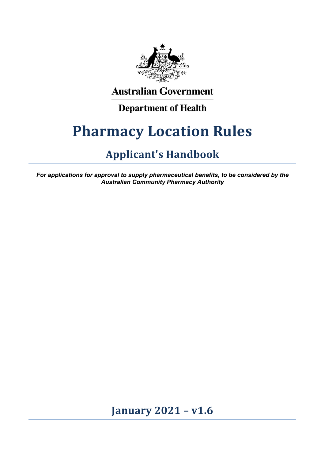

# **Australian Government**

# **Department of Health**

# **Pharmacy Location Rules**

# **Applicant's Handbook**

*For applications for approval to supply pharmaceutical benefits, to be considered by the Australian Community Pharmacy Authority*

**January 2021 – v1.6**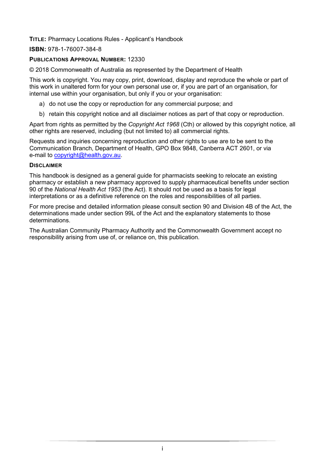#### **TITLE:** Pharmacy Locations Rules - Applicant's Handbook

#### **ISBN:** 978-1-76007-384-8

#### **PUBLICATIONS APPROVAL NUMBER: 12330**

© 2018 Commonwealth of Australia as represented by the Department of Health

This work is copyright. You may copy, print, download, display and reproduce the whole or part of this work in unaltered form for your own personal use or, if you are part of an organisation, for internal use within your organisation, but only if you or your organisation:

- a) do not use the copy or reproduction for any commercial purpose; and
- b) retain this copyright notice and all disclaimer notices as part of that copy or reproduction.

Apart from rights as permitted by the *Copyright Act 1968* (Cth) or allowed by this copyright notice*,* all other rights are reserved, including (but not limited to) all commercial rights.

Requests and inquiries concerning reproduction and other rights to use are to be sent to the Communication Branch, Department of Health, GPO Box 9848, Canberra ACT 2601, or via e-mail to [copyright@health.gov.au.](mailto:copyright@health.gov.au)

#### **DISCLAIMER**

This handbook is designed as a general guide for pharmacists seeking to relocate an existing pharmacy or establish a new pharmacy approved to supply pharmaceutical benefits under section 90 of the *National Health Act 1953* (the Act). It should not be used as a basis for legal interpretations or as a definitive reference on the roles and responsibilities of all parties.

For more precise and detailed information please consult section 90 and Division 4B of the Act, the determinations made under section 99L of the Act and the explanatory statements to those determinations.

The Australian Community Pharmacy Authority and the Commonwealth Government accept no responsibility arising from use of, or reliance on, this publication.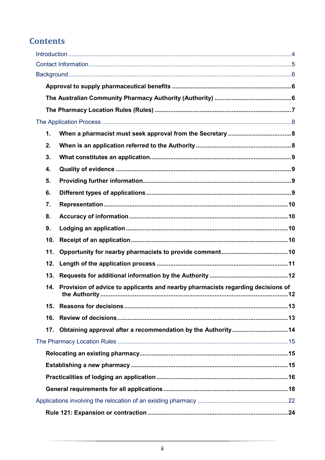# **Contents**

| $\mathbf 1$ . |                                                                                                             |  |  |  |  |  |
|---------------|-------------------------------------------------------------------------------------------------------------|--|--|--|--|--|
| 2.            |                                                                                                             |  |  |  |  |  |
| 3.            |                                                                                                             |  |  |  |  |  |
| 4.            |                                                                                                             |  |  |  |  |  |
| 5.            |                                                                                                             |  |  |  |  |  |
| 6.            |                                                                                                             |  |  |  |  |  |
| 7.            |                                                                                                             |  |  |  |  |  |
| 8.            |                                                                                                             |  |  |  |  |  |
| 9.            |                                                                                                             |  |  |  |  |  |
|               | 10.                                                                                                         |  |  |  |  |  |
|               | 11.                                                                                                         |  |  |  |  |  |
|               | 12.                                                                                                         |  |  |  |  |  |
|               | 13.                                                                                                         |  |  |  |  |  |
|               | 14. Provision of advice to applicants and nearby pharmacists regarding decisions of<br>the Authority.<br>12 |  |  |  |  |  |
|               | 15.                                                                                                         |  |  |  |  |  |
|               | 16.                                                                                                         |  |  |  |  |  |
|               | 17.                                                                                                         |  |  |  |  |  |
|               |                                                                                                             |  |  |  |  |  |
|               |                                                                                                             |  |  |  |  |  |
|               |                                                                                                             |  |  |  |  |  |
|               |                                                                                                             |  |  |  |  |  |
|               |                                                                                                             |  |  |  |  |  |
|               |                                                                                                             |  |  |  |  |  |
|               |                                                                                                             |  |  |  |  |  |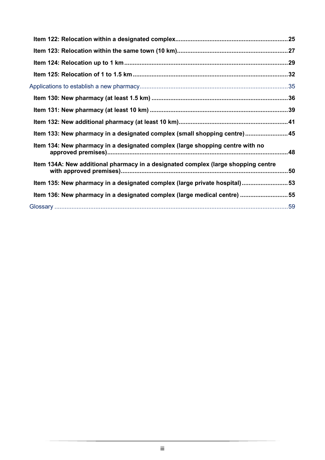| Item 133: New pharmacy in a designated complex (small shopping centre)45          |  |
|-----------------------------------------------------------------------------------|--|
| Item 134: New pharmacy in a designated complex (large shopping centre with no     |  |
| Item 134A: New additional pharmacy in a designated complex (large shopping centre |  |
| Item 135: New pharmacy in a designated complex (large private hospital)53         |  |
| Item 136: New pharmacy in a designated complex (large medical centre) 55          |  |
|                                                                                   |  |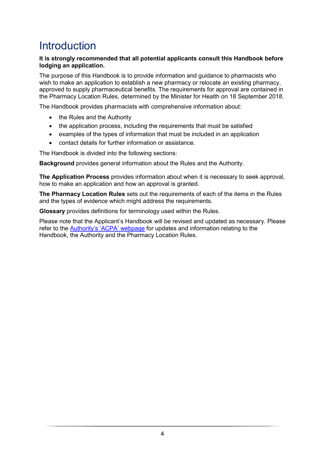# <span id="page-4-0"></span>**Introduction**

#### **It is strongly recommended that all potential applicants consult this Handbook before lodging an application.**

The purpose of this Handbook is to provide information and guidance to pharmacists who wish to make an application to establish a new pharmacy or relocate an existing pharmacy, approved to supply pharmaceutical benefits. The requirements for approval are contained in the Pharmacy Location Rules, determined by the Minister for Health on 18 September 2018.

The Handbook provides pharmacists with comprehensive information about:

- the Rules and the Authority
- the application process, including the requirements that must be satisfied
- examples of the types of information that must be included in an application
- contact details for further information or assistance.

The Handbook is divided into the following sections:

**Background** provides general information about the Rules and the Authority.

**The Application Process** provides information about when it is necessary to seek approval, how to make an application and how an approval is granted.

**The Pharmacy Location Rules** sets out the requirements of each of the items in the Rules and the types of evidence which might address the requirements.

**Glossary** provides definitions for terminology used within the Rules.

Please note that the Applicant's Handbook will be revised and updated as necessary. Please refer to the [Authority's 'ACPA' webpage](http://www.health.gov.au/acpa) for updates and information relating to the Handbook, the Authority and the Pharmacy Location Rules.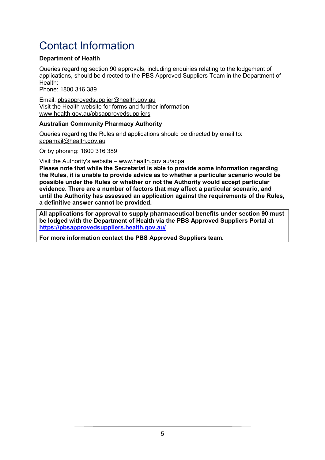# <span id="page-5-0"></span>Contact Information

#### **Department of Health**

Queries regarding section 90 approvals, including enquiries relating to the lodgement of applications, should be directed to the PBS Approved Suppliers Team in the Department of Health:

Phone: 1800 316 389

Email: pbsapprovedsupplier@health.gov.au Visit the Health website for forms and further information – www.health.gov.au/pbsapprovedsuppliers

#### **Australian Community Pharmacy Authority**

Queries regarding the Rules and applications should be directed by email to: acpamail@health.gov.au

Or by phoning: 1800 316 389

Visit the Authority's website – www.health.gov.au/acpa

**Please note that while the Secretariat is able to provide some information regarding the Rules, it is unable to provide advice as to whether a particular scenario would be possible under the Rules or whether or not the Authority would accept particular evidence. There are a number of factors that may affect a particular scenario, and until the Authority has assessed an application against the requirements of the Rules, a definitive answer cannot be provided.**

**All applications for approval to supply pharmaceutical benefits under section 90 must be lodged with the Department of Health via the PBS Approved Suppliers Portal at <https://pbsapprovedsuppliers.health.gov.au/>**

**For more information contact the PBS Approved Suppliers team.**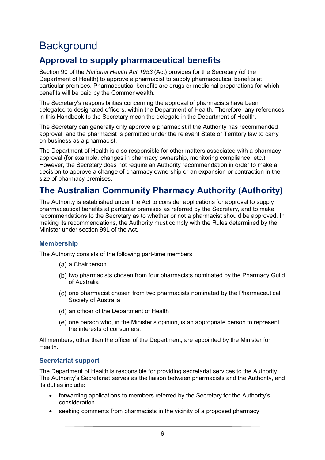# <span id="page-6-0"></span>**Background**

## <span id="page-6-1"></span>**Approval to supply pharmaceutical benefits**

Section 90 of the *National Health Act 1953* (Act) provides for the Secretary (of the Department of Health) to approve a pharmacist to supply pharmaceutical benefits at particular premises. Pharmaceutical benefits are drugs or medicinal preparations for which benefits will be paid by the Commonwealth.

The Secretary's responsibilities concerning the approval of pharmacists have been delegated to designated officers, within the Department of Health. Therefore, any references in this Handbook to the Secretary mean the delegate in the Department of Health.

The Secretary can generally only approve a pharmacist if the Authority has recommended approval, and the pharmacist is permitted under the relevant State or Territory law to carry on business as a pharmacist.

The Department of Health is also responsible for other matters associated with a pharmacy approval (for example, changes in pharmacy ownership, monitoring compliance, etc.). However, the Secretary does not require an Authority recommendation in order to make a decision to approve a change of pharmacy ownership or an expansion or contraction in the size of pharmacy premises.

### <span id="page-6-2"></span>**The Australian Community Pharmacy Authority (Authority)**

The Authority is established under the Act to consider applications for approval to supply pharmaceutical benefits at particular premises as referred by the Secretary, and to make recommendations to the Secretary as to whether or not a pharmacist should be approved. In making its recommendations, the Authority must comply with the Rules determined by the Minister under section 99L of the Act.

#### **Membership**

The Authority consists of the following part-time members:

- (a) a Chairperson
- (b) two pharmacists chosen from four pharmacists nominated by the Pharmacy Guild of Australia
- (c) one pharmacist chosen from two pharmacists nominated by the Pharmaceutical Society of Australia
- (d) an officer of the Department of Health
- $(e)$  one person who, in the Minister's opinion, is an appropriate person to represent the interests of consumers.

All members, other than the officer of the Department, are appointed by the Minister for Health.

#### **Secretariat support**

The Department of Health is responsible for providing secretariat services to the Authority. The Authority's Secretariat serves as the liaison between pharmacists and the Authority, and its duties include:

- forwarding applications to members referred by the Secretary for the Authority's consideration
- seeking comments from pharmacists in the vicinity of a proposed pharmacy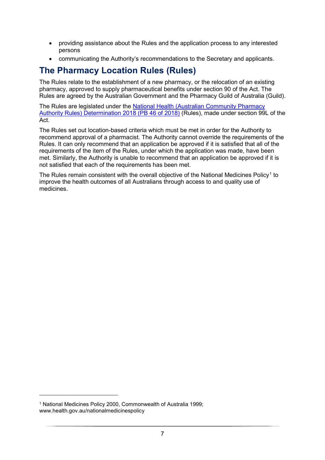- providing assistance about the Rules and the application process to any interested persons
- communicating the Authority's recommendations to the Secretary and applicants.

## <span id="page-7-0"></span>**The Pharmacy Location Rules (Rules)**

The Rules relate to the establishment of a new pharmacy, or the relocation of an existing pharmacy, approved to supply pharmaceutical benefits under section 90 of the Act. The Rules are agreed by the Australian Government and the Pharmacy Guild of Australia (Guild).

The Rules are legislated under the [National Health \(Australian Community](https://www.legislation.gov.au/Details/F2018L01321) Pharmacy [Authority Rules\) Determination 2018](https://www.legislation.gov.au/Details/F2018L01321) (PB 46 of 2018) (Rules), made under section 99L of the Act.

The Rules set out location-based criteria which must be met in order for the Authority to recommend approval of a pharmacist. The Authority cannot override the requirements of the Rules. It can only recommend that an application be approved if it is satisfied that all of the requirements of the item of the Rules, under which the application was made, have been met. Similarly, the Authority is unable to recommend that an application be approved if it is not satisfied that each of the requirements has been met.

The Rules remain consistent with the overall objective of the National Medicines Policy<sup>[1](#page-7-1)</sup> to improve the health outcomes of all Australians through access to and quality use of medicines.

-

<span id="page-7-1"></span><sup>1</sup> National Medicines Policy 2000, Commonwealth of Australia 1999; www.health.gov.au/nationalmedicinespolicy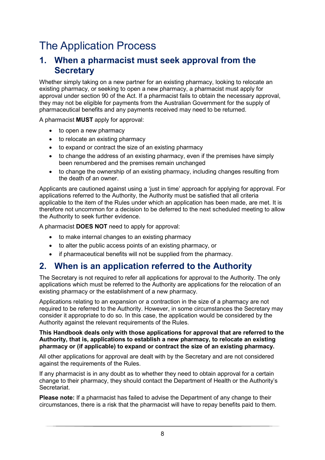# <span id="page-8-0"></span>The Application Process

### <span id="page-8-1"></span>**1. When a pharmacist must seek approval from the Secretary**

Whether simply taking on a new partner for an existing pharmacy, looking to relocate an existing pharmacy, or seeking to open a new pharmacy, a pharmacist must apply for approval under section 90 of the Act. If a pharmacist fails to obtain the necessary approval, they may not be eligible for payments from the Australian Government for the supply of pharmaceutical benefits and any payments received may need to be returned.

A pharmacist **MUST** apply for approval:

- to open a new pharmacy
- to relocate an existing pharmacy
- to expand or contract the size of an existing pharmacy
- to change the address of an existing pharmacy, even if the premises have simply been renumbered and the premises remain unchanged
- to change the ownership of an existing pharmacy, including changes resulting from the death of an owner.

Applicants are cautioned against using a 'just in time' approach for applying for approval. For applications referred to the Authority, the Authority must be satisfied that all criteria applicable to the item of the Rules under which an application has been made, are met. It is therefore not uncommon for a decision to be deferred to the next scheduled meeting to allow the Authority to seek further evidence.

A pharmacist **DOES NOT** need to apply for approval:

- to make internal changes to an existing pharmacy
- to alter the public access points of an existing pharmacy, or
- if pharmaceutical benefits will not be supplied from the pharmacy.

### <span id="page-8-2"></span>**2. When is an application referred to the Authority**

The Secretary is not required to refer all applications for approval to the Authority. The only applications which must be referred to the Authority are applications for the relocation of an existing pharmacy or the establishment of a new pharmacy.

Applications relating to an expansion or a contraction in the size of a pharmacy are not required to be referred to the Authority. However, in some circumstances the Secretary may consider it appropriate to do so. In this case, the application would be considered by the Authority against the relevant requirements of the Rules.

#### **This Handbook deals only with those applications for approval that are referred to the Authority, that is, applications to establish a new pharmacy, to relocate an existing pharmacy or (if applicable) to expand or contract the size of an existing pharmacy.**

All other applications for approval are dealt with by the Secretary and are not considered against the requirements of the Rules.

If any pharmacist is in any doubt as to whether they need to obtain approval for a certain change to their pharmacy, they should contact the Department of Health or the Authority's **Secretariat** 

**Please note:** If a pharmacist has failed to advise the Department of any change to their circumstances, there is a risk that the pharmacist will have to repay benefits paid to them.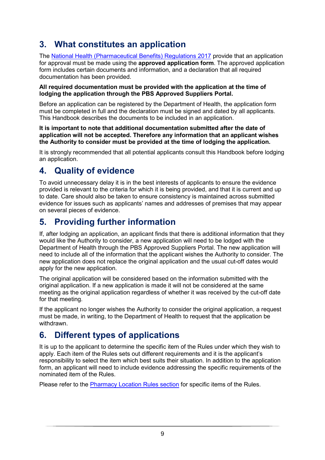# <span id="page-9-0"></span>**3. What constitutes an application**

The [National Health \(Pharmaceutical Benefits\) Regulations 2017](https://www.legislation.gov.au/Series/F2017L00313) provide that an application for approval must be made using the **approved application form**. The approved application form includes certain documents and information, and a declaration that all required documentation has been provided.

#### **All required documentation must be provided with the application at the time of lodging the application through the PBS Approved Suppliers Portal.**

Before an application can be registered by the Department of Health, the application form must be completed in full and the declaration must be signed and dated by all applicants. This Handbook describes the documents to be included in an application.

#### **It is important to note that additional documentation submitted after the date of application will not be accepted. Therefore any information that an applicant wishes the Authority to consider must be provided at the time of lodging the application.**

It is strongly recommended that all potential applicants consult this Handbook before lodging an application.

# <span id="page-9-1"></span>**4. Quality of evidence**

To avoid unnecessary delay it is in the best interests of applicants to ensure the evidence provided is relevant to the criteria for which it is being provided, and that it is current and up to date. Care should also be taken to ensure consistency is maintained across submitted evidence for issues such as applicants' names and addresses of premises that may appear on several pieces of evidence.

### <span id="page-9-2"></span>**5. Providing further information**

If, after lodging an application, an applicant finds that there is additional information that they would like the Authority to consider, a new application will need to be lodged with the Department of Health through the PBS Approved Suppliers Portal. The new application will need to include all of the information that the applicant wishes the Authority to consider. The new application does not replace the original application and the usual cut-off dates would apply for the new application.

The original application will be considered based on the information submitted with the original application. If a new application is made it will not be considered at the same meeting as the original application regardless of whether it was received by the cut-off date for that meeting.

If the applicant no longer wishes the Authority to consider the original application, a request must be made, in writing, to the Department of Health to request that the application be withdrawn.

### <span id="page-9-3"></span>**6. Different types of applications**

It is up to the applicant to determine the specific item of the Rules under which they wish to apply. Each item of the Rules sets out different requirements and it is the applicant's responsibility to select the item which best suits their situation. In addition to the application form, an applicant will need to include evidence addressing the specific requirements of the nominated item of the Rules.

Please refer to the [Pharmacy Location Rules section](#page-15-0) for specific items of the Rules.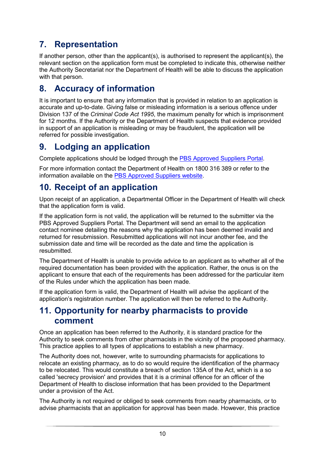# <span id="page-10-0"></span>**7. Representation**

If another person, other than the applicant(s), is authorised to represent the applicant(s), the relevant section on the application form must be completed to indicate this, otherwise neither the Authority Secretariat nor the Department of Health will be able to discuss the application with that person.

### <span id="page-10-1"></span>**8. Accuracy of information**

It is important to ensure that any information that is provided in relation to an application is accurate and up-to-date. Giving false or misleading information is a serious offence under Division 137 of the *Criminal Code Act 1995*, the maximum penalty for which is imprisonment for 12 months. If the Authority or the Department of Health suspects that evidence provided in support of an application is misleading or may be fraudulent, the application will be referred for possible investigation.

# <span id="page-10-2"></span>**9. Lodging an application**

Complete applications should be lodged through the [PBS Approved Suppliers Portal.](http://pbsapprovedsuppliers.health.gov.au/)

For more information contact the Department of Health on 1800 316 389 or refer to the information available on the [PBS Approved Suppliers website.](https://www1.health.gov.au/internet/main/publishing.nsf/Content/pharmaceutical-benefits-scheme-approved-supplier-administrative-functions?Open=&utm_source=health.gov.au&utm_medium=redirect&utm_campaign=digital_transformation&utm_content=pbsapprovedsuppliers)

### <span id="page-10-3"></span>**10. Receipt of an application**

Upon receipt of an application, a Departmental Officer in the Department of Health will check that the application form is valid.

If the application form is not valid, the application will be returned to the submitter via the PBS Approved Suppliers Portal. The Department will send an email to the application contact nominee detailing the reasons why the application has been deemed invalid and returned for resubmission. Resubmitted applications will not incur another fee, and the submission date and time will be recorded as the date and time the application is resubmitted.

The Department of Health is unable to provide advice to an applicant as to whether all of the required documentation has been provided with the application. Rather, the onus is on the applicant to ensure that each of the requirements has been addressed for the particular item of the Rules under which the application has been made.

If the application form is valid, the Department of Health will advise the applicant of the application's registration number. The application will then be referred to the Authority.

### <span id="page-10-4"></span>**11. Opportunity for nearby pharmacists to provide comment**

Once an application has been referred to the Authority, it is standard practice for the Authority to seek comments from other pharmacists in the vicinity of the proposed pharmacy. This practice applies to all types of applications to establish a new pharmacy.

The Authority does not, however, write to surrounding pharmacists for applications to relocate an existing pharmacy, as to do so would require the identification of the pharmacy to be relocated. This would constitute a breach of section 135A of the Act, which is a so called 'secrecy provision' and provides that it is a criminal offence for an officer of the Department of Health to disclose information that has been provided to the Department under a provision of the Act.

The Authority is not required or obliged to seek comments from nearby pharmacists, or to advise pharmacists that an application for approval has been made. However, this practice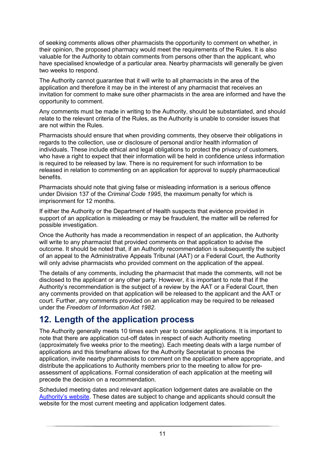of seeking comments allows other pharmacists the opportunity to comment on whether, in their opinion, the proposed pharmacy would meet the requirements of the Rules. It is also valuable for the Authority to obtain comments from persons other than the applicant, who have specialised knowledge of a particular area. Nearby pharmacists will generally be given two weeks to respond.

The Authority cannot guarantee that it will write to all pharmacists in the area of the application and therefore it may be in the interest of any pharmacist that receives an invitation for comment to make sure other pharmacists in the area are informed and have the opportunity to comment.

Any comments must be made in writing to the Authority, should be substantiated, and should relate to the relevant criteria of the Rules, as the Authority is unable to consider issues that are not within the Rules.

Pharmacists should ensure that when providing comments, they observe their obligations in regards to the collection, use or disclosure of personal and/or health information of individuals. These include ethical and legal obligations to protect the privacy of customers, who have a right to expect that their information will be held in confidence unless information is required to be released by law. There is no requirement for such information to be released in relation to commenting on an application for approval to supply pharmaceutical benefits.

Pharmacists should note that giving false or misleading information is a serious offence under Division 137 of the *Criminal Code 1995*, the maximum penalty for which is imprisonment for 12 months.

If either the Authority or the Department of Health suspects that evidence provided in support of an application is misleading or may be fraudulent, the matter will be referred for possible investigation.

Once the Authority has made a recommendation in respect of an application, the Authority will write to any pharmacist that provided comments on that application to advise the outcome. It should be noted that, if an Authority recommendation is subsequently the subject of an appeal to the Administrative Appeals Tribunal (AAT) or a Federal Court, the Authority will only advise pharmacists who provided comment on the application of the appeal.

The details of any comments, including the pharmacist that made the comments, will not be disclosed to the applicant or any other party. However, it is important to note that if the Authority's recommendation is the subject of a review by the AAT or a Federal Court, then any comments provided on that application will be released to the applicant and the AAT or court. Further, any comments provided on an application may be required to be released under the *Freedom of Information Act 1982*.

### <span id="page-11-0"></span>**12. Length of the application process**

The Authority generally meets 10 times each year to consider applications. It is important to note that there are application cut-off dates in respect of each Authority meeting (approximately five weeks prior to the meeting). Each meeting deals with a large number of applications and this timeframe allows for the Authority Secretariat to process the application, invite nearby pharmacists to comment on the application where appropriate, and distribute the applications to Authority members prior to the meeting to allow for preassessment of applications. Formal consideration of each application at the meeting will precede the decision on a recommendation.

Scheduled meeting dates and relevant application lodgement dates are available on th[e](http://www.health.gov.au/acpa) [Authority's website.](http://www.health.gov.au/acpa) These dates are subject to change and applicants should consult the website for the most current meeting and application lodgement dates.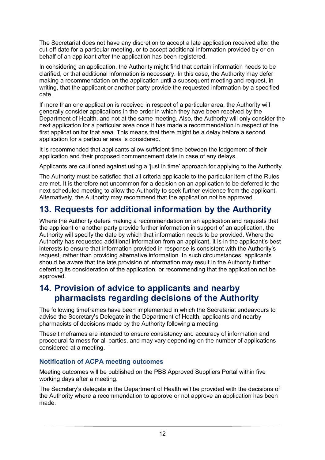The Secretariat does not have any discretion to accept a late application received after the cut-off date for a particular meeting, or to accept additional information provided by or on behalf of an applicant after the application has been registered.

In considering an application, the Authority might find that certain information needs to be clarified, or that additional information is necessary. In this case, the Authority may defer making a recommendation on the application until a subsequent meeting and request, in writing, that the applicant or another party provide the requested information by a specified date.

If more than one application is received in respect of a particular area, the Authority will generally consider applications in the order in which they have been received by the Department of Health, and not at the same meeting. Also, the Authority will only consider the next application for a particular area once it has made a recommendation in respect of the first application for that area. This means that there might be a delay before a second application for a particular area is considered.

It is recommended that applicants allow sufficient time between the lodgement of their application and their proposed commencement date in case of any delays.

Applicants are cautioned against using a 'just in time' approach for applying to the Authority.

The Authority must be satisfied that all criteria applicable to the particular item of the Rules are met. It is therefore not uncommon for a decision on an application to be deferred to the next scheduled meeting to allow the Authority to seek further evidence from the applicant. Alternatively, the Authority may recommend that the application not be approved.

## <span id="page-12-0"></span>**13. Requests for additional information by the Authority**

Where the Authority defers making a recommendation on an application and requests that the applicant or another party provide further information in support of an application, the Authority will specify the date by which that information needs to be provided. Where the Authority has requested additional information from an applicant, it is in the applicant's best interests to ensure that information provided in response is consistent with the Authority's request, rather than providing alternative information. In such circumstances, applicants should be aware that the late provision of information may result in the Authority further deferring its consideration of the application, or recommending that the application not be approved.

### <span id="page-12-1"></span>**14. Provision of advice to applicants and nearby pharmacists regarding decisions of the Authority**

The following timeframes have been implemented in which the Secretariat endeavours to advise the Secretary's Delegate in the Department of Health, applicants and nearby pharmacists of decisions made by the Authority following a meeting.

These timeframes are intended to ensure consistency and accuracy of information and procedural fairness for all parties, and may vary depending on the number of applications considered at a meeting.

#### **Notification of ACPA meeting outcomes**

Meeting outcomes will be published on the PBS Approved Suppliers Portal within five working days after a meeting.

The Secretary's delegate in the Department of Health will be provided with the decisions of the Authority where a recommendation to approve or not approve an application has been made.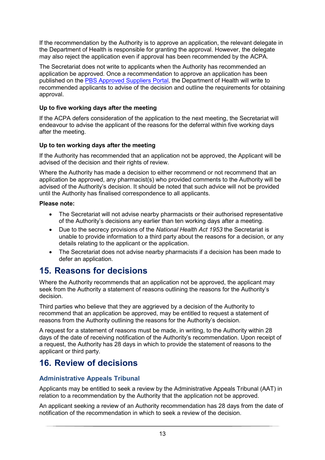If the recommendation by the Authority is to approve an application, the relevant delegate in the Department of Health is responsible for granting the approval. However, the delegate may also reject the application even if approval has been recommended by the ACPA.

The Secretariat does not write to applicants when the Authority has recommended an application be approved. Once a recommendation to approve an application has been published on the [PBS Approved Suppliers Portal,](https://pbsapprovedsuppliers.health.gov.au/) the Department of Health will write to recommended applicants to advise of the decision and outline the requirements for obtaining approval.

#### **Up to five working days after the meeting**

If the ACPA defers consideration of the application to the next meeting, the Secretariat will endeavour to advise the applicant of the reasons for the deferral within five working days after the meeting.

#### **Up to ten working days after the meeting**

If the Authority has recommended that an application not be approved, the Applicant will be advised of the decision and their rights of review.

Where the Authority has made a decision to either recommend or not recommend that an application be approved, any pharmacist(s) who provided comments to the Authority will be advised of the Authority's decision. It should be noted that such advice will not be provided until the Authority has finalised correspondence to all applicants.

#### **Please note:**

- The Secretariat will not advise nearby pharmacists or their authorised representative of the Authority's decisions any earlier than ten working days after a meeting.
- Due to the secrecy provisions of the *National Health Act 1953* the Secretariat is unable to provide information to a third party about the reasons for a decision, or any details relating to the applicant or the application.
- The Secretariat does not advise nearby pharmacists if a decision has been made to defer an application.

### <span id="page-13-0"></span>**15. Reasons for decisions**

Where the Authority recommends that an application not be approved, the applicant may seek from the Authority a statement of reasons outlining the reasons for the Authority's decision.

Third parties who believe that they are aggrieved by a decision of the Authority to recommend that an application be approved, may be entitled to request a statement of reasons from the Authority outlining the reasons for the Authority's decision.

A request for a statement of reasons must be made, in writing, to the Authority within 28 days of the date of receiving notification of the Authority's recommendation. Upon receipt of a request, the Authority has 28 days in which to provide the statement of reasons to the applicant or third party.

### <span id="page-13-1"></span>**16. Review of decisions**

#### **Administrative Appeals Tribunal**

Applicants may be entitled to seek a review by the Administrative Appeals Tribunal (AAT) in relation to a recommendation by the Authority that the application not be approved.

An applicant seeking a review of an Authority recommendation has 28 days from the date of notification of the recommendation in which to seek a review of the decision.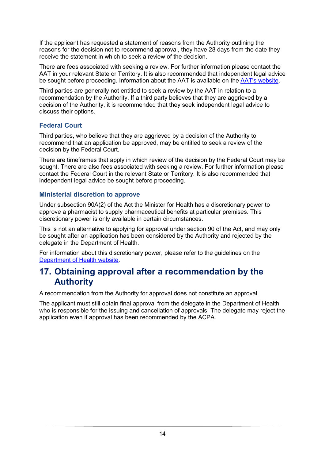If the applicant has requested a statement of reasons from the Authority outlining the reasons for the decision not to recommend approval, they have 28 days from the date they receive the statement in which to seek a review of the decision.

There are fees associated with seeking a review. For further information please contact the AAT in your relevant State or Territory. It is also recommended that independent legal advice be sought before proceeding. Information about the AAT is available on the [AAT's website.](http://www.aat.gov.au/)

Third parties are generally not entitled to seek a review by the AAT in relation to a recommendation by the Authority. If a third party believes that they are aggrieved by a decision of the Authority, it is recommended that they seek independent legal advice to discuss their options.

#### **Federal Court**

Third parties, who believe that they are aggrieved by a decision of the Authority to recommend that an application be approved, may be entitled to seek a review of the decision by the Federal Court.

There are timeframes that apply in which review of the decision by the Federal Court may be sought. There are also fees associated with seeking a review. For further information please contact the Federal Court in the relevant State or Territory. It is also recommended that independent legal advice be sought before proceeding.

#### **Ministerial discretion to approve**

Under subsection 90A(2) of the Act the Minister for Health has a discretionary power to approve a pharmacist to supply pharmaceutical benefits at particular premises. This discretionary power is only available in certain circumstances.

This is not an alternative to applying for approval under section 90 of the Act, and may only be sought after an application has been considered by the Authority and rejected by the delegate in the Department of Health.

For information about this discretionary power, please refer to the guidelines on the [Department of Health website.](https://www1.health.gov.au/internet/main/publishing.nsf/Content/pharmaceutical-benefits-scheme-approved-supplier-guides-and-forms)

### <span id="page-14-0"></span>**17. Obtaining approval after a recommendation by the Authority**

A recommendation from the Authority for approval does not constitute an approval.

The applicant must still obtain final approval from the delegate in the Department of Health who is responsible for the issuing and cancellation of approvals. The delegate may reject the application even if approval has been recommended by the ACPA.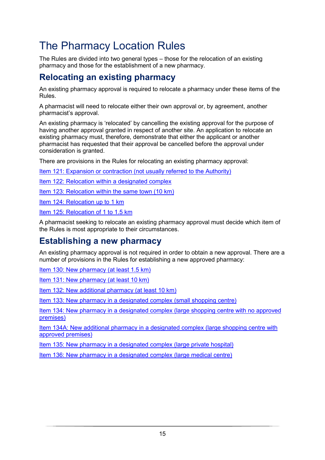# <span id="page-15-0"></span>The Pharmacy Location Rules

The Rules are divided into two general types – those for the relocation of an existing pharmacy and those for the establishment of a new pharmacy.

### <span id="page-15-1"></span>**Relocating an existing pharmacy**

An existing pharmacy approval is required to relocate a pharmacy under these items of the Rules.

A pharmacist will need to relocate either their own approval or, by agreement, another pharmacist's approval.

An existing pharmacy is 'relocated' by cancelling the existing approval for the purpose of having another approval granted in respect of another site. An application to relocate an existing pharmacy must, therefore, demonstrate that either the applicant or another pharmacist has requested that their approval be cancelled before the approval under consideration is granted.

There are provisions in the Rules for relocating an existing pharmacy approval:

Item [121: Expansion or contraction \(not usually referred to the Authority\)](#page-24-0)

Item 122: [Relocation within a designated complex](#page-25-0)

Item [123: Relocation within the same town \(10 km\)](#page-27-0)

Item [124: Relocation up to 1 km](#page-29-0)

Item [125: Relocation of 1 to 1.5 km](#page-32-0)

A pharmacist seeking to relocate an existing pharmacy approval must decide which item of the Rules is most appropriate to their circumstances.

### <span id="page-15-2"></span>**Establishing a new pharmacy**

An existing pharmacy approval is not required in order to obtain a new approval. There are a number of provisions in the Rules for establishing a new approved pharmacy:

Item [130: New pharmacy \(at least 1.5 km\)](#page-36-0)

Item [131: New pharmacy \(at least 10 km\)](#page-39-0)

Item [132: New additional pharmacy \(at least 10 km\)](#page-41-0)

Item [133: New pharmacy in a designated complex](#page-45-0) (small shopping centre)

Item 134: New pharmacy [in a designated complex](#page-48-0) (large shopping centre with no approved [premises\)](#page-48-0)

Item [134A: New additional pharmacy in a designated complex \(large shopping centre with](#page-50-0)  [approved premises\)](#page-50-0)

Item [135: New pharmacy in a designated complex \(large private hospital\)](#page-53-0)

Item [136: New pharmacy in a designated complex](#page-55-0) (large medical centre)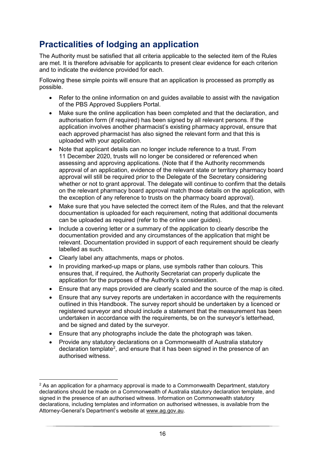# <span id="page-16-0"></span>**Practicalities of lodging an application**

The Authority must be satisfied that all criteria applicable to the selected item of the Rules are met. It is therefore advisable for applicants to present clear evidence for each criterion and to indicate the evidence provided for each.

Following these simple points will ensure that an application is processed as promptly as possible.

- Refer to the online information on and quides available to assist with the navigation of the PBS Approved Suppliers Portal.
- Make sure the online application has been completed and that the declaration, and authorisation form (if required) has been signed by all relevant persons. If the application involves another pharmacist's existing pharmacy approval, ensure that each approved pharmacist has also signed the relevant form and that this is uploaded with your application.
- Note that applicant details can no longer include reference to a trust. From 11 December 2020, trusts will no longer be considered or referenced when assessing and approving applications. (Note that if the Authority recommends approval of an application, evidence of the relevant state or territory pharmacy board approval will still be required prior to the Delegate of the Secretary considering whether or not to grant approval. The delegate will continue to confirm that the details on the relevant pharmacy board approval match those details on the application, with the exception of any reference to trusts on the pharmacy board approval).
- Make sure that you have selected the correct item of the Rules, and that the relevant documentation is uploaded for each requirement, noting that additional documents can be uploaded as required (refer to the online user guides).
- Include a covering letter or a summary of the application to clearly describe the documentation provided and any circumstances of the application that might be relevant. Documentation provided in support of each requirement should be clearly labelled as such.
- Clearly label any attachments, maps or photos.
- In providing marked-up maps or plans, use symbols rather than colours. This ensures that, if required, the Authority Secretariat can properly duplicate the application for the purposes of the Authority's consideration.
- Ensure that any maps provided are clearly scaled and the source of the map is cited.
- Ensure that any survey reports are undertaken in accordance with the requirements outlined in this Handbook. The survey report should be undertaken by a licenced or registered surveyor and should include a statement that the measurement has been undertaken in accordance with the requirements, be on the surveyor's letterhead, and be signed and dated by the surveyor.
- Ensure that any photographs include the date the photograph was taken.
- Provide any statutory declarations on a Commonwealth of Australia statutory declaration template<sup>[2](#page-16-1)</sup>, and ensure that it has been signed in the presence of an authorised witness.

<span id="page-16-1"></span> $2$  As an application for a pharmacy approval is made to a Commonwealth Department, statutory declarations should be made on a Commonwealth of Australia statutory declaration template, and signed in the presence of an authorised witness. Information on Commonwealth statutory declarations, including templates and information on authorised witnesses, is available from the Attorney-General's Department's website at [www.ag.gov.au.](http://www.ag.gov.au/)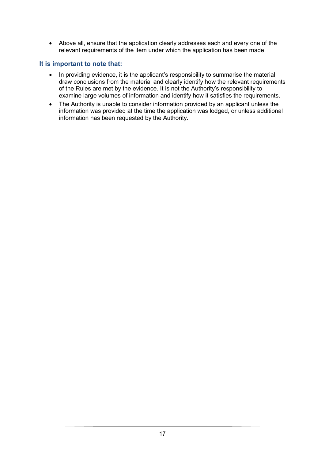• Above all, ensure that the application clearly addresses each and every one of the relevant requirements of the item under which the application has been made.

#### **It is important to note that:**

- In providing evidence, it is the applicant's responsibility to summarise the material, draw conclusions from the material and clearly identify how the relevant requirements of the Rules are met by the evidence. It is not the Authority's responsibility to examine large volumes of information and identify how it satisfies the requirements.
- The Authority is unable to consider information provided by an applicant unless the information was provided at the time the application was lodged, or unless additional information has been requested by the Authority.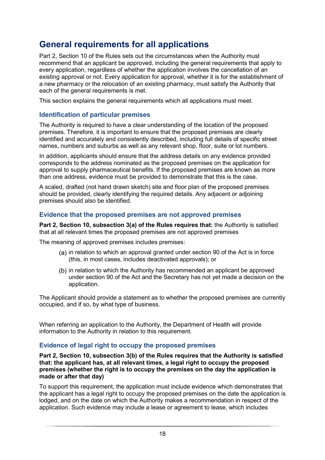## <span id="page-18-0"></span>**General requirements for all applications**

Part 2, Section 10 of the Rules sets out the circumstances when the Authority must recommend that an applicant be approved, including the general requirements that apply to every application, regardless of whether the application involves the cancellation of an existing approval or not. Every application for approval, whether it is for the establishment of a new pharmacy or the relocation of an existing pharmacy, must satisfy the Authority that each of the general requirements is met.

This section explains the general requirements which all applications must meet.

#### **Identification of particular premises**

The Authority is required to have a clear understanding of the location of the proposed premises. Therefore, it is important to ensure that the proposed premises are clearly identified and accurately and consistently described, including full details of specific street names, numbers and suburbs as well as any relevant shop, floor, suite or lot numbers.

In addition, applicants should ensure that the address details on any evidence provided corresponds to the address nominated as the proposed premises on the application for approval to supply pharmaceutical benefits. If the proposed premises are known as more than one address, evidence must be provided to demonstrate that this is the case.

A scaled, drafted (not hand drawn sketch) site and floor plan of the proposed premises should be provided, clearly identifying the required details. Any adjacent or adjoining premises should also be identified.

#### **Evidence that the proposed premises are not approved premises**

**Part 2, Section 10, subsection 3(a) of the Rules requires that:** the Authority is satisfied that at all relevant times the proposed premises are not approved premises

The meaning of approved premises includes premises:

- $(a)$  in relation to which an approval granted under section 90 of the Act is in force (this, in most cases, includes deactivated approvals); or
- (b) in relation to which the Authority has recommended an applicant be approved under section 90 of the Act and the Secretary has not yet made a decision on the application.

The Applicant should provide a statement as to whether the proposed premises are currently occupied, and if so, by what type of business.

When referring an application to the Authority, the Department of Health will provide information to the Authority in relation to this requirement.

#### **Evidence of legal right to occupy the proposed premises**

**Part 2, Section 10, subsection 3(b) of the Rules requires that the Authority is satisfied that: the applicant has, at all relevant times, a legal right to occupy the proposed premises (whether the right is to occupy the premises on the day the application is made or after that day)**

To support this requirement, the application must include evidence which demonstrates that the applicant has a legal right to occupy the proposed premises on the date the application is lodged, and on the date on which the Authority makes a recommendation in respect of the application. Such evidence may include a lease or agreement to lease, which includes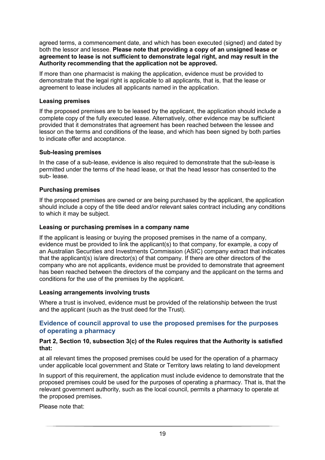agreed terms, a commencement date, and which has been executed (signed) and dated by both the lessor and lessee. **Please note that providing a copy of an unsigned lease or agreement to lease is not sufficient to demonstrate legal right, and may result in the Authority recommending that the application not be approved.**

If more than one pharmacist is making the application, evidence must be provided to demonstrate that the legal right is applicable to all applicants, that is, that the lease or agreement to lease includes all applicants named in the application.

#### **Leasing premises**

If the proposed premises are to be leased by the applicant, the application should include a complete copy of the fully executed lease. Alternatively, other evidence may be sufficient provided that it demonstrates that agreement has been reached between the lessee and lessor on the terms and conditions of the lease, and which has been signed by both parties to indicate offer and acceptance.

#### **Sub-leasing premises**

In the case of a sub-lease, evidence is also required to demonstrate that the sub-lease is permitted under the terms of the head lease, or that the head lessor has consented to the sub- lease.

#### **Purchasing premises**

If the proposed premises are owned or are being purchased by the applicant, the application should include a copy of the title deed and/or relevant sales contract including any conditions to which it may be subject.

#### **Leasing or purchasing premises in a company name**

If the applicant is leasing or buying the proposed premises in the name of a company, evidence must be provided to link the applicant(s) to that company, for example, a copy of an Australian Securities and Investments Commission (ASIC) company extract that indicates that the applicant(s) is/are director(s) of that company. If there are other directors of the company who are not applicants, evidence must be provided to demonstrate that agreement has been reached between the directors of the company and the applicant on the terms and conditions for the use of the premises by the applicant.

#### **Leasing arrangements involving trusts**

Where a trust is involved, evidence must be provided of the relationship between the trust and the applicant (such as the trust deed for the Trust).

#### **Evidence of council approval to use the proposed premises for the purposes of operating a pharmacy**

#### **Part 2, Section 10, subsection 3(c) of the Rules requires that the Authority is satisfied that:**

at all relevant times the proposed premises could be used for the operation of a pharmacy under applicable local government and State or Territory laws relating to land development

In support of this requirement, the application must include evidence to demonstrate that the proposed premises could be used for the purposes of operating a pharmacy. That is, that the relevant government authority, such as the local council, permits a pharmacy to operate at the proposed premises.

Please note that: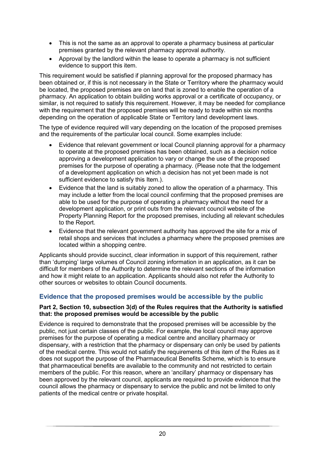- This is not the same as an approval to operate a pharmacy business at particular premises granted by the relevant pharmacy approval authority.
- Approval by the landlord within the lease to operate a pharmacy is not sufficient evidence to support this item.

This requirement would be satisfied if planning approval for the proposed pharmacy has been obtained or, if this is not necessary in the State or Territory where the pharmacy would be located, the proposed premises are on land that is zoned to enable the operation of a pharmacy. An application to obtain building works approval or a certificate of occupancy, or similar, is not required to satisfy this requirement. However, it may be needed for compliance with the requirement that the proposed premises will be ready to trade within six months depending on the operation of applicable State or Territory land development laws.

The type of evidence required will vary depending on the location of the proposed premises and the requirements of the particular local council. Some examples include:

- Evidence that relevant government or local Council planning approval for a pharmacy to operate at the proposed premises has been obtained, such as a decision notice approving a development application to vary or change the use of the proposed premises for the purpose of operating a pharmacy. (Please note that the lodgement of a development application on which a decision has not yet been made is not sufficient evidence to satisfy this Item.).
- Evidence that the land is suitably zoned to allow the operation of a pharmacy. This may include a letter from the local council confirming that the proposed premises are able to be used for the purpose of operating a pharmacy without the need for a development application, or print outs from the relevant council website of the Property Planning Report for the proposed premises, including all relevant schedules to the Report.
- Evidence that the relevant government authority has approved the site for a mix of retail shops and services that includes a pharmacy where the proposed premises are located within a shopping centre.

Applicants should provide succinct, clear information in support of this requirement, rather than 'dumping' large volumes of Council zoning information in an application, as it can be difficult for members of the Authority to determine the relevant sections of the information and how it might relate to an application. Applicants should also not refer the Authority to other sources or websites to obtain Council documents.

#### **Evidence that the proposed premises would be accessible by the public**

#### **Part 2, Section 10, subsection 3(d) of the Rules requires that the Authority is satisfied that: the proposed premises would be accessible by the public**

Evidence is required to demonstrate that the proposed premises will be accessible by the public, not just certain classes of the public. For example, the local council may approve premises for the purpose of operating a medical centre and ancillary pharmacy or dispensary, with a restriction that the pharmacy or dispensary can only be used by patients of the medical centre. This would not satisfy the requirements of this item of the Rules as it does not support the purpose of the Pharmaceutical Benefits Scheme, which is to ensure that pharmaceutical benefits are available to the community and not restricted to certain members of the public. For this reason, where an 'ancillary' pharmacy or dispensary has been approved by the relevant council, applicants are required to provide evidence that the council allows the pharmacy or dispensary to service the public and not be limited to only patients of the medical centre or private hospital.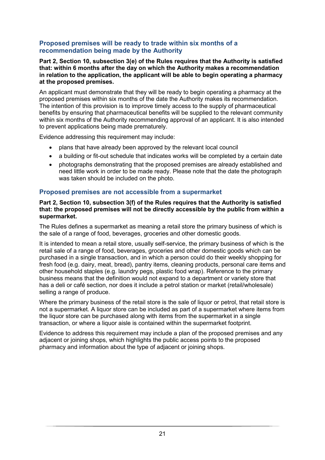#### **Proposed premises will be ready to trade within six months of a recommendation being made by the Authority**

**Part 2, Section 10, subsection 3(e) of the Rules requires that the Authority is satisfied that: within 6 months after the day on which the Authority makes a recommendation in relation to the application, the applicant will be able to begin operating a pharmacy at the proposed premises.**

An applicant must demonstrate that they will be ready to begin operating a pharmacy at the proposed premises within six months of the date the Authority makes its recommendation. The intention of this provision is to improve timely access to the supply of pharmaceutical benefits by ensuring that pharmaceutical benefits will be supplied to the relevant community within six months of the Authority recommending approval of an applicant. It is also intended to prevent applications being made prematurely.

Evidence addressing this requirement may include:

- plans that have already been approved by the relevant local council
- a building or fit-out schedule that indicates works will be completed by a certain date
- photographs demonstrating that the proposed premises are already established and need little work in order to be made ready. Please note that the date the photograph was taken should be included on the photo.

#### **Proposed premises are not accessible from a supermarket**

#### **Part 2, Section 10, subsection 3(f) of the Rules requires that the Authority is satisfied that: the proposed premises will not be directly accessible by the public from within a supermarket.**

The Rules defines a supermarket as meaning a retail store the primary business of which is the sale of a range of food, beverages, groceries and other domestic goods.

It is intended to mean a retail store, usually self-service, the primary business of which is the retail sale of a range of food, beverages, groceries and other domestic goods which can be purchased in a single transaction, and in which a person could do their weekly shopping for fresh food (e.g. dairy, meat, bread), pantry items, cleaning products, personal care items and other household staples (e.g. laundry pegs, plastic food wrap). Reference to the primary business means that the definition would not expand to a department or variety store that has a deli or café section, nor does it include a petrol station or market (retail/wholesale) selling a range of produce.

Where the primary business of the retail store is the sale of liquor or petrol, that retail store is not a supermarket. A liquor store can be included as part of a supermarket where items from the liquor store can be purchased along with items from the supermarket in a single transaction, or where a liquor aisle is contained within the supermarket footprint.

Evidence to address this requirement may include a plan of the proposed premises and any adjacent or joining shops, which highlights the public access points to the proposed pharmacy and information about the type of adjacent or joining shops.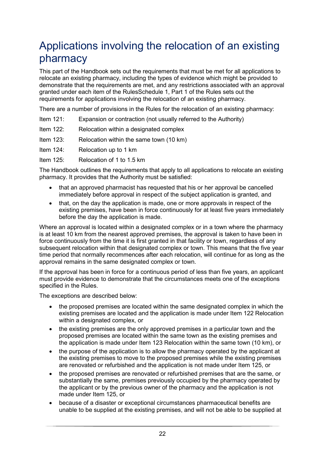# <span id="page-22-0"></span>Applications involving the relocation of an existing pharmacy

This part of the Handbook sets out the requirements that must be met for all applications to relocate an existing pharmacy, including the types of evidence which might be provided to demonstrate that the requirements are met, and any restrictions associated with an approval granted under each item of the RulesSchedule 1, Part 1 of the Rules sets out the requirements for applications involving the relocation of an existing pharmacy.

There are a number of provisions in the Rules for the relocation of an existing pharmacy:

| Item $121$ : | Expansion or contraction (not usually referred to the Authority) |  |
|--------------|------------------------------------------------------------------|--|
|              |                                                                  |  |

- Item 122: Relocation within a designated complex
- Item 123: Relocation within the same town (10 km)

Item 124: Relocation up to 1 km

Item 125: Relocation of 1 to 1.5 km

The Handbook outlines the requirements that apply to all applications to relocate an existing pharmacy. It provides that the Authority must be satisfied:

- that an approved pharmacist has requested that his or her approval be cancelled immediately before approval in respect of the subject application is granted, and
- that, on the day the application is made, one or more approvals in respect of the existing premises, have been in force continuously for at least five years immediately before the day the application is made.

Where an approval is located within a designated complex or in a town where the pharmacy is at least 10 km from the nearest approved premises, the approval is taken to have been in force continuously from the time it is first granted in that facility or town, regardless of any subsequent relocation within that designated complex or town. This means that the five year time period that normally recommences after each relocation, will continue for as long as the approval remains in the same designated complex or town.

If the approval has been in force for a continuous period of less than five years, an applicant must provide evidence to demonstrate that the circumstances meets one of the exceptions specified in the Rules.

The exceptions are described below:

- the proposed premises are located within the same designated complex in which the existing premises are located and the application is made under Item 122 Relocation within a designated complex, or
- the existing premises are the only approved premises in a particular town and the proposed premises are located within the same town as the existing premises and the application is made under Item 123 Relocation within the same town (10 km), or
- the purpose of the application is to allow the pharmacy operated by the applicant at the existing premises to move to the proposed premises while the existing premises are renovated or refurbished and the application is not made under Item 125, or
- the proposed premises are renovated or refurbished premises that are the same, or substantially the same, premises previously occupied by the pharmacy operated by the applicant or by the previous owner of the pharmacy and the application is not made under Item 125, or
- because of a disaster or exceptional circumstances pharmaceutical benefits are unable to be supplied at the existing premises, and will not be able to be supplied at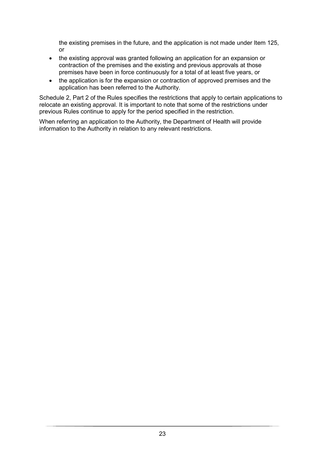the existing premises in the future, and the application is not made under Item 125, or

- the existing approval was granted following an application for an expansion or contraction of the premises and the existing and previous approvals at those premises have been in force continuously for a total of at least five years, or
- the application is for the expansion or contraction of approved premises and the application has been referred to the Authority.

Schedule 2, Part 2 of the Rules specifies the restrictions that apply to certain applications to relocate an existing approval. It is important to note that some of the restrictions under previous Rules continue to apply for the period specified in the restriction.

When referring an application to the Authority, the Department of Health will provide information to the Authority in relation to any relevant restrictions.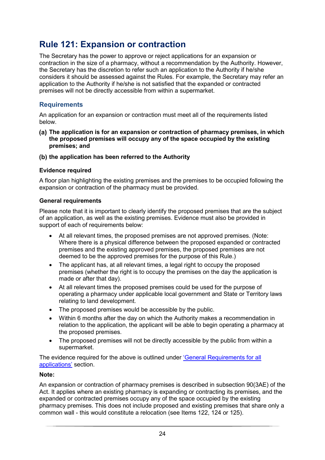## <span id="page-24-0"></span>**Rule 121: Expansion or contraction**

The Secretary has the power to approve or reject applications for an expansion or contraction in the size of a pharmacy, without a recommendation by the Authority. However, the Secretary has the discretion to refer such an application to the Authority if he/she considers it should be assessed against the Rules. For example, the Secretary may refer an application to the Authority if he/she is not satisfied that the expanded or contracted premises will not be directly accessible from within a supermarket.

#### **Requirements**

An application for an expansion or contraction must meet all of the requirements listed below.

- **The application is for an expansion or contraction of pharmacy premises, in which the proposed premises will occupy any of the space occupied by the existing premises; and**
- **the application has been referred to the Authority**

#### **Evidence required**

A floor plan highlighting the existing premises and the premises to be occupied following the expansion or contraction of the pharmacy must be provided.

#### **General requirements**

Please note that it is important to clearly identify the proposed premises that are the subject of an application, as well as the existing premises. Evidence must also be provided in support of each of requirements below:

- At all relevant times, the proposed premises are not approved premises. (Note: Where there is a physical difference between the proposed expanded or contracted premises and the existing approved premises, the proposed premises are not deemed to be the approved premises for the purpose of this Rule.)
- The applicant has, at all relevant times, a legal right to occupy the proposed premises (whether the right is to occupy the premises on the day the application is made or after that day).
- At all relevant times the proposed premises could be used for the purpose of operating a pharmacy under applicable local government and State or Territory laws relating to land development.
- The proposed premises would be accessible by the public.
- Within 6 months after the day on which the Authority makes a recommendation in relation to the application, the applicant will be able to begin operating a pharmacy at the proposed premises.
- The proposed premises will not be directly accessible by the public from within a supermarket.

The evidence required for the above is outlined under ['General Requirements for all](#page-18-0)  [applications'](#page-18-0) section.

#### **Note:**

An expansion or contraction of pharmacy premises is described in subsection 90(3AE) of the Act. It applies where an existing pharmacy is expanding or contracting its premises, and the expanded or contracted premises occupy any of the space occupied by the existing pharmacy premises. This does not include proposed and existing premises that share only a common wall - this would constitute a relocation (see Items 122, 124 or 125).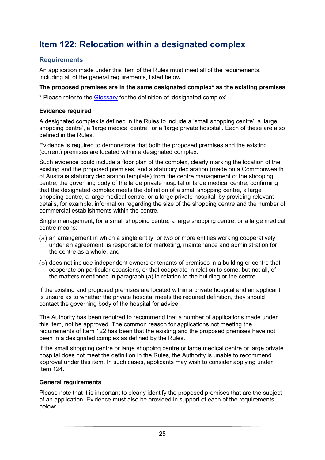# <span id="page-25-0"></span>**Item 122: Relocation within a designated complex**

#### **Requirements**

An application made under this item of the Rules must meet all of the requirements, including all of the general requirements, listed below.

#### **The proposed premises are in the same designated complex\* as the existing premises**

\* Please refer to the [Glossary](#page-59-0) for the definition of 'designated complex'

#### **Evidence required**

A designated complex is defined in the Rules to include a 'small shopping centre', a 'large shopping centre', a 'large medical centre', or a 'large private hospital'. Each of these are also defined in the Rules.

Evidence is required to demonstrate that both the proposed premises and the existing (current) premises are located within a designated complex.

Such evidence could include a floor plan of the complex, clearly marking the location of the existing and the proposed premises, and a statutory declaration (made on a Commonwealth of Australia statutory declaration template) from the centre management of the shopping centre, the governing body of the large private hospital or large medical centre, confirming that the designated complex meets the definition of a small shopping centre, a large shopping centre, a large medical centre, or a large private hospital, by providing relevant details, for example, information regarding the size of the shopping centre and the number of commercial establishments within the centre.

Single management, for a small shopping centre, a large shopping centre, or a large medical centre means:

- (a) an arrangement in which a single entity, or two or more entities working cooperatively under an agreement, is responsible for marketing, maintenance and administration for the centre as a whole, and
- (b) does not include independent owners or tenants of premises in a building or centre that cooperate on particular occasions, or that cooperate in relation to some, but not all, of the matters mentioned in paragraph (a) in relation to the building or the centre.

If the existing and proposed premises are located within a private hospital and an applicant is unsure as to whether the private hospital meets the required definition, they should contact the governing body of the hospital for advice.

The Authority has been required to recommend that a number of applications made under this item, not be approved. The common reason for applications not meeting the requirements of Item 122 has been that the existing and the proposed premises have not been in a designated complex as defined by the Rules.

If the small shopping centre or large shopping centre or large medical centre or large private hospital does not meet the definition in the Rules, the Authority is unable to recommend approval under this item. In such cases, applicants may wish to consider applying under Item 124

#### **General requirements**

Please note that it is important to clearly identify the proposed premises that are the subject of an application. Evidence must also be provided in support of each of the requirements below: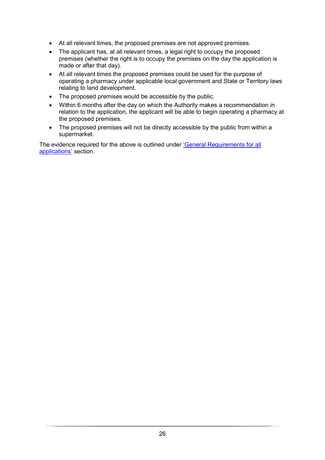- At all relevant times, the proposed premises are not approved premises.
- The applicant has, at all relevant times, a legal right to occupy the proposed premises (whether the right is to occupy the premises on the day the application is made or after that day).
- At all relevant times the proposed premises could be used for the purpose of operating a pharmacy under applicable local government and State or Territory laws relating to land development.
- The proposed premises would be accessible by the public.
- Within 6 months after the day on which the Authority makes a recommendation in relation to the application, the applicant will be able to begin operating a pharmacy at the proposed premises.
- The proposed premises will not be directly accessible by the public from within a supermarket.

The evidence required for the above is outlined under ['General Requirements for all](#page-18-0)  [applications'](#page-18-0) section.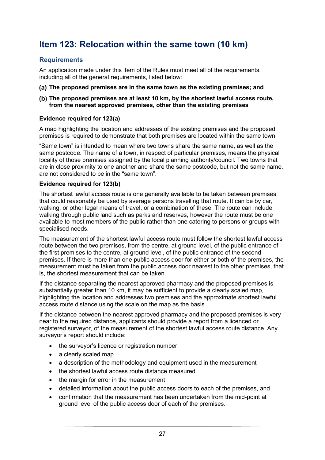# <span id="page-27-0"></span>**Item 123: Relocation within the same town (10 km)**

#### **Requirements**

An application made under this item of the Rules must meet all of the requirements, including all of the general requirements, listed below:

- **The proposed premises are in the same town as the existing premises; and**
- **The proposed premises are at least 10 km, by the shortest lawful access route, from the nearest approved premises, other than the existing premises**

#### **Evidence required for 123(a)**

A map highlighting the location and addresses of the existing premises and the proposed premises is required to demonstrate that both premises are located within the same town.

"Same town" is intended to mean where two towns share the same name, as well as the same postcode. The name of a town, in respect of particular premises, means the physical locality of those premises assigned by the local planning authority/council. Two towns that are in close proximity to one another and share the same postcode, but not the same name, are not considered to be in the "same town".

#### **Evidence required for 123(b)**

The shortest lawful access route is one generally available to be taken between premises that could reasonably be used by average persons travelling that route. It can be by car, walking, or other legal means of travel, or a combination of these. The route can include walking through public land such as parks and reserves, however the route must be one available to most members of the public rather than one catering to persons or groups with specialised needs.

The measurement of the shortest lawful access route must follow the shortest lawful access route between the two premises, from the centre, at ground level, of the public entrance of the first premises to the centre, at ground level, of the public entrance of the second premises. If there is more than one public access door for either or both of the premises, the measurement must be taken from the public access door nearest to the other premises, that is, the shortest measurement that can be taken.

If the distance separating the nearest approved pharmacy and the proposed premises is substantially greater than 10 km, it may be sufficient to provide a clearly scaled map, highlighting the location and addresses two premises and the approximate shortest lawful access route distance using the scale on the map as the basis.

If the distance between the nearest approved pharmacy and the proposed premises is very near to the required distance, applicants should provide a report from a licenced or registered surveyor, of the measurement of the shortest lawful access route distance. Any surveyor's report should include:

- the surveyor's licence or registration number
- a clearly scaled map
- a description of the methodology and equipment used in the measurement
- the shortest lawful access route distance measured
- the margin for error in the measurement
- detailed information about the public access doors to each of the premises, and
- confirmation that the measurement has been undertaken from the mid-point at ground level of the public access door of each of the premises.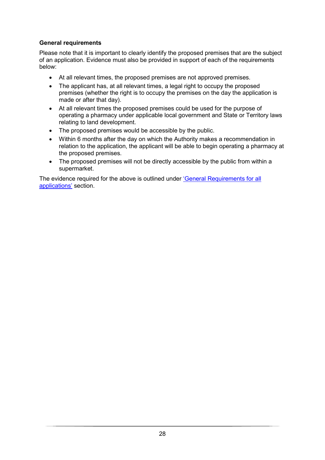#### **General requirements**

Please note that it is important to clearly identify the proposed premises that are the subject of an application. Evidence must also be provided in support of each of the requirements below:

- At all relevant times, the proposed premises are not approved premises.
- The applicant has, at all relevant times, a legal right to occupy the proposed premises (whether the right is to occupy the premises on the day the application is made or after that day).
- At all relevant times the proposed premises could be used for the purpose of operating a pharmacy under applicable local government and State or Territory laws relating to land development.
- The proposed premises would be accessible by the public.
- Within 6 months after the day on which the Authority makes a recommendation in relation to the application, the applicant will be able to begin operating a pharmacy at the proposed premises.
- The proposed premises will not be directly accessible by the public from within a supermarket.

The evidence required for the above is outlined under ['General Requirements for all](#page-18-0)  [applications'](#page-18-0) section.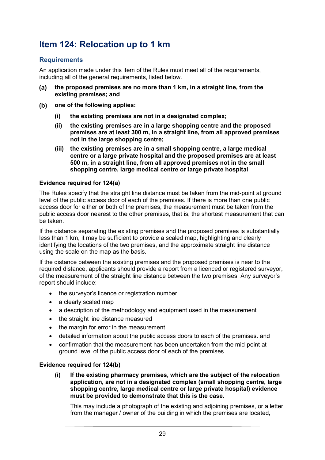# <span id="page-29-0"></span>**Item 124: Relocation up to 1 km**

#### **Requirements**

An application made under this item of the Rules must meet all of the requirements, including all of the general requirements, listed below.

- **the proposed premises are no more than 1 km, in a straight line, from the**   $(a)$ **existing premises; and**
- $(b)$ **one of the following applies:**
	- **(i) the existing premises are not in a designated complex;**
	- **(ii) the existing premises are in a large shopping centre and the proposed premises are at least 300 m, in a straight line, from all approved premises not in the large shopping centre;**
	- **(iii) the existing premises are in a small shopping centre, a large medical centre or a large private hospital and the proposed premises are at least 500 m, in a straight line, from all approved premises not in the small shopping centre, large medical centre or large private hospital**

#### **Evidence required for 124(a)**

The Rules specify that the straight line distance must be taken from the mid-point at ground level of the public access door of each of the premises. If there is more than one public access door for either or both of the premises, the measurement must be taken from the public access door nearest to the other premises, that is, the shortest measurement that can be taken.

If the distance separating the existing premises and the proposed premises is substantially less than 1 km, it may be sufficient to provide a scaled map, highlighting and clearly identifying the locations of the two premises, and the approximate straight line distance using the scale on the map as the basis.

If the distance between the existing premises and the proposed premises is near to the required distance, applicants should provide a report from a licenced or registered surveyor, of the measurement of the straight line distance between the two premises. Any surveyor's report should include:

- the surveyor's licence or registration number
- a clearly scaled map
- a description of the methodology and equipment used in the measurement
- the straight line distance measured
- the margin for error in the measurement
- detailed information about the public access doors to each of the premises. and
- confirmation that the measurement has been undertaken from the mid-point at ground level of the public access door of each of the premises.

#### **Evidence required for 124(b)**

**(i) If the existing pharmacy premises, which are the subject of the relocation application, are not in a designated complex (small shopping centre, large shopping centre, large medical centre or large private hospital) evidence must be provided to demonstrate that this is the case.**

This may include a photograph of the existing and adjoining premises, or a letter from the manager / owner of the building in which the premises are located,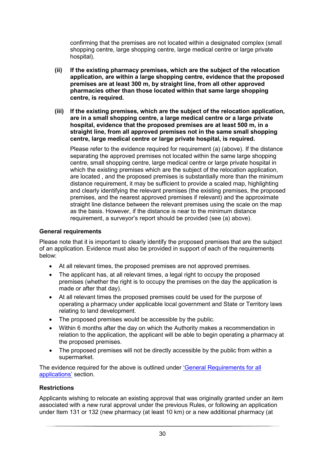confirming that the premises are not located within a designated complex (small shopping centre, large shopping centre, large medical centre or large private hospital).

- **(ii) If the existing pharmacy premises, which are the subject of the relocation application, are within a large shopping centre, evidence that the proposed premises are at least 300 m, by straight line, from all other approved pharmacies other than those located within that same large shopping centre, is required.**
- **(iii) If the existing premises, which are the subject of the relocation application, are in a small shopping centre, a large medical centre or a large private hospital, evidence that the proposed premises are at least 500 m, in a straight line, from all approved premises not in the same small shopping centre, large medical centre or large private hospital, is required.**

Please refer to the evidence required for requirement (a) (above). If the distance separating the approved premises not located within the same large shopping centre, small shopping centre, large medical centre or large private hospital in which the existing premises which are the subject of the relocation application, are located , and the proposed premises is substantially more than the minimum distance requirement, it may be sufficient to provide a scaled map, highlighting and clearly identifying the relevant premises (the existing premises, the proposed premises, and the nearest approved premises if relevant) and the approximate straight line distance between the relevant premises using the scale on the map as the basis. However, if the distance is near to the minimum distance requirement, a surveyor's report should be provided (see (a) above).

#### **General requirements**

Please note that it is important to clearly identify the proposed premises that are the subject of an application. Evidence must also be provided in support of each of the requirements below:

- At all relevant times, the proposed premises are not approved premises.
- The applicant has, at all relevant times, a legal right to occupy the proposed premises (whether the right is to occupy the premises on the day the application is made or after that day).
- At all relevant times the proposed premises could be used for the purpose of operating a pharmacy under applicable local government and State or Territory laws relating to land development.
- The proposed premises would be accessible by the public.
- Within 6 months after the day on which the Authority makes a recommendation in relation to the application, the applicant will be able to begin operating a pharmacy at the proposed premises.
- The proposed premises will not be directly accessible by the public from within a supermarket.

The evidence required for the above is outlined under ['General Requirements for all](#page-18-0)  [applications'](#page-18-0) section.

#### **Restrictions**

Applicants wishing to relocate an existing approval that was originally granted under an item associated with a new rural approval under the previous Rules, or following an application under Item 131 or 132 (new pharmacy (at least 10 km) or a new additional pharmacy (at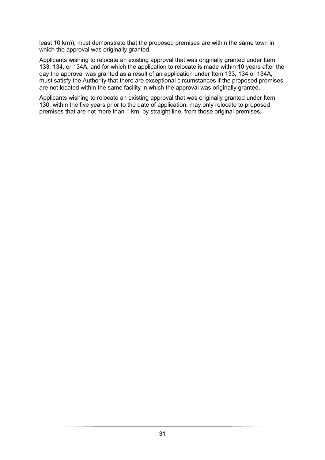least 10 km)), must demonstrate that the proposed premises are within the same town in which the approval was originally granted.

Applicants wishing to relocate an existing approval that was originally granted under Item 133, 134, or 134A, and for which the application to relocate is made within 10 years after the day the approval was granted as a result of an application under Item 133, 134 or 134A, must satisfy the Authority that there are exceptional circumstances if the proposed premises are not located within the same facility in which the approval was originally granted.

Applicants wishing to relocate an existing approval that was originally granted under Item 130, within the five years prior to the date of application, may only relocate to proposed premises that are not more than 1 km, by straight line, from those original premises.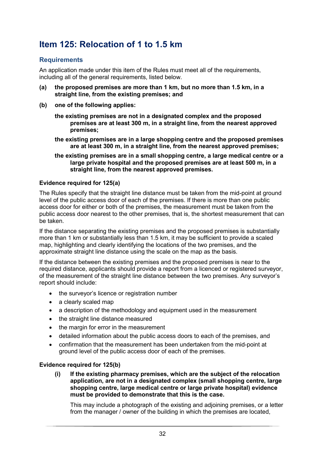# <span id="page-32-0"></span>**Item 125: Relocation of 1 to 1.5 km**

#### **Requirements**

An application made under this item of the Rules must meet all of the requirements, including all of the general requirements, listed below.

- **(a) the proposed premises are more than 1 km, but no more than 1.5 km, in a straight line, from the existing premises; and**
- **(b) one of the following applies:**
	- **the existing premises are not in a designated complex and the proposed premises are at least 300 m, in a straight line, from the nearest approved premises;**
	- **the existing premises are in a large shopping centre and the proposed premises are at least 300 m, in a straight line, from the nearest approved premises;**
	- **the existing premises are in a small shopping centre, a large medical centre or a large private hospital and the proposed premises are at least 500 m, in a straight line, from the nearest approved premises.**

#### **Evidence required for 125(a)**

The Rules specify that the straight line distance must be taken from the mid-point at ground level of the public access door of each of the premises. If there is more than one public access door for either or both of the premises, the measurement must be taken from the public access door nearest to the other premises, that is, the shortest measurement that can be taken.

If the distance separating the existing premises and the proposed premises is substantially more than 1 km or substantially less than 1.5 km, it may be sufficient to provide a scaled map, highlighting and clearly identifying the locations of the two premises, and the approximate straight line distance using the scale on the map as the basis.

If the distance between the existing premises and the proposed premises is near to the required distance, applicants should provide a report from a licenced or registered surveyor, of the measurement of the straight line distance between the two premises. Any surveyor's report should include:

- the surveyor's licence or registration number
- a clearly scaled map
- a description of the methodology and equipment used in the measurement
- the straight line distance measured
- the margin for error in the measurement
- detailed information about the public access doors to each of the premises, and
- confirmation that the measurement has been undertaken from the mid-point at ground level of the public access door of each of the premises.

#### **Evidence required for 125(b)**

**(i) If the existing pharmacy premises, which are the subject of the relocation application, are not in a designated complex (small shopping centre, large shopping centre, large medical centre or large private hospital) evidence must be provided to demonstrate that this is the case.**

This may include a photograph of the existing and adjoining premises, or a letter from the manager / owner of the building in which the premises are located,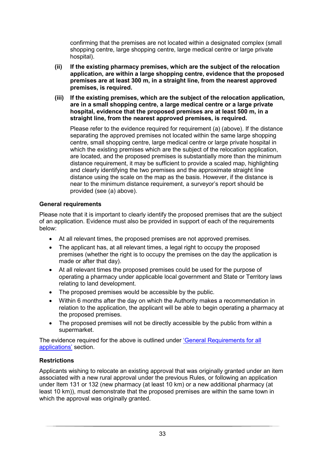confirming that the premises are not located within a designated complex (small shopping centre, large shopping centre, large medical centre or large private hospital).

- **(ii) If the existing pharmacy premises, which are the subject of the relocation application, are within a large shopping centre, evidence that the proposed premises are at least 300 m, in a straight line, from the nearest approved premises, is required.**
- **(iii) If the existing premises, which are the subject of the relocation application, are in a small shopping centre, a large medical centre or a large private hospital, evidence that the proposed premises are at least 500 m, in a straight line, from the nearest approved premises, is required.**

Please refer to the evidence required for requirement (a) (above). If the distance separating the approved premises not located within the same large shopping centre, small shopping centre, large medical centre or large private hospital in which the existing premises which are the subject of the relocation application, are located, and the proposed premises is substantially more than the minimum distance requirement, it may be sufficient to provide a scaled map, highlighting and clearly identifying the two premises and the approximate straight line distance using the scale on the map as the basis. However, if the distance is near to the minimum distance requirement, a surveyor's report should be provided (see (a) above).

#### **General requirements**

Please note that it is important to clearly identify the proposed premises that are the subject of an application. Evidence must also be provided in support of each of the requirements below:

- At all relevant times, the proposed premises are not approved premises.
- The applicant has, at all relevant times, a legal right to occupy the proposed premises (whether the right is to occupy the premises on the day the application is made or after that day).
- At all relevant times the proposed premises could be used for the purpose of operating a pharmacy under applicable local government and State or Territory laws relating to land development.
- The proposed premises would be accessible by the public.
- Within 6 months after the day on which the Authority makes a recommendation in relation to the application, the applicant will be able to begin operating a pharmacy at the proposed premises.
- The proposed premises will not be directly accessible by the public from within a supermarket.

The evidence required for the above is outlined under ['General Requirements for all](#page-18-0)  [applications'](#page-18-0) section.

#### **Restrictions**

Applicants wishing to relocate an existing approval that was originally granted under an item associated with a new rural approval under the previous Rules, or following an application under Item 131 or 132 (new pharmacy (at least 10 km) or a new additional pharmacy (at least 10 km)), must demonstrate that the proposed premises are within the same town in which the approval was originally granted.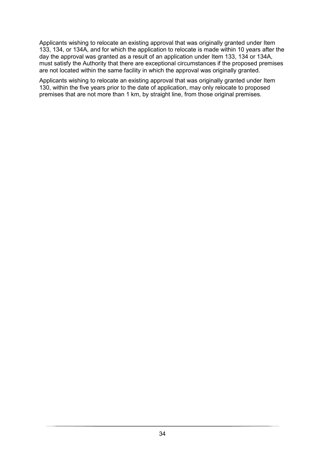Applicants wishing to relocate an existing approval that was originally granted under Item 133, 134, or 134A, and for which the application to relocate is made within 10 years after the day the approval was granted as a result of an application under Item 133, 134 or 134A, must satisfy the Authority that there are exceptional circumstances if the proposed premises are not located within the same facility in which the approval was originally granted.

Applicants wishing to relocate an existing approval that was originally granted under Item 130, within the five years prior to the date of application, may only relocate to proposed premises that are not more than 1 km, by straight line, from those original premises.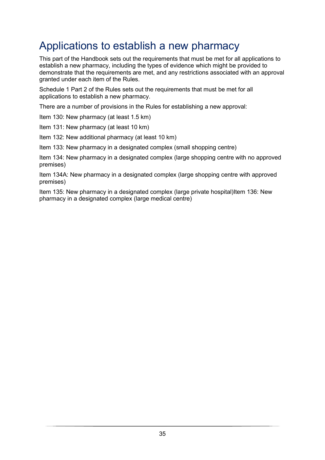# <span id="page-35-0"></span>Applications to establish a new pharmacy

This part of the Handbook sets out the requirements that must be met for all applications to establish a new pharmacy, including the types of evidence which might be provided to demonstrate that the requirements are met, and any restrictions associated with an approval granted under each item of the Rules.

Schedule 1 Part 2 of the Rules sets out the requirements that must be met for all applications to establish a new pharmacy.

There are a number of provisions in the Rules for establishing a new approval:

Item 130: New pharmacy (at least 1.5 km)

Item 131: New pharmacy (at least 10 km)

Item 132: New additional pharmacy (at least 10 km)

Item 133: New pharmacy in a designated complex (small shopping centre)

Item 134: New pharmacy in a designated complex (large shopping centre with no approved premises)

Item 134A: New pharmacy in a designated complex (large shopping centre with approved premises)

Item 135: New pharmacy in a designated complex (large private hospital)Item 136: New pharmacy in a designated complex (large medical centre)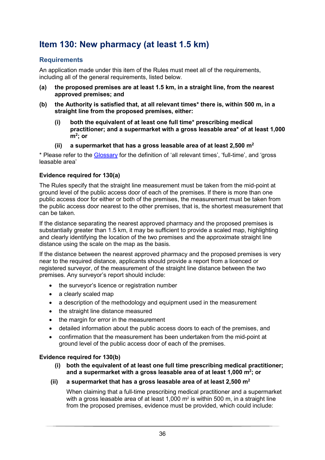# <span id="page-36-0"></span>**Item 130: New pharmacy (at least 1.5 km)**

#### **Requirements**

An application made under this item of the Rules must meet all of the requirements, including all of the general requirements, listed below.

- **(a) the proposed premises are at least 1.5 km, in a straight line, from the nearest approved premises; and**
- **(b) the Authority is satisfied that, at all relevant times\* there is, within 500 m, in a straight line from the proposed premises, either:**
	- **(i) both the equivalent of at least one full time\* prescribing medical practitioner; and a supermarket with a gross leasable area\* of at least 1,000 m2 ; or**
	- **(ii) a supermarket that has a gross leasable area of at least 2,500 m2**

\* Please refer to the [Glossary](#page-59-0) for the definition of 'all relevant times', 'full-time', and 'gross leasable area'

#### **Evidence required for 130(a)**

The Rules specify that the straight line measurement must be taken from the mid-point at ground level of the public access door of each of the premises. If there is more than one public access door for either or both of the premises, the measurement must be taken from the public access door nearest to the other premises, that is, the shortest measurement that can be taken.

If the distance separating the nearest approved pharmacy and the proposed premises is substantially greater than 1.5 km, it may be sufficient to provide a scaled map, highlighting and clearly identifying the location of the two premises and the approximate straight line distance using the scale on the map as the basis.

If the distance between the nearest approved pharmacy and the proposed premises is very near to the required distance, applicants should provide a report from a licenced or registered surveyor, of the measurement of the straight line distance between the two premises. Any surveyor's report should include:

- the surveyor's licence or registration number
- a clearly scaled map
- a description of the methodology and equipment used in the measurement
- the straight line distance measured
- the margin for error in the measurement
- detailed information about the public access doors to each of the premises, and
- confirmation that the measurement has been undertaken from the mid-point at ground level of the public access door of each of the premises.

#### **Evidence required for 130(b)**

- **(i) both the equivalent of at least one full time prescribing medical practitioner; and a supermarket with a gross leasable area of at least 1,000 m2 ; or**
- **(ii) a supermarket that has a gross leasable area of at least 2,500 m2**

When claiming that a full-time prescribing medical practitioner and a supermarket with a gross leasable area of at least 1,000  $m<sup>2</sup>$  is within 500 m, in a straight line from the proposed premises, evidence must be provided, which could include: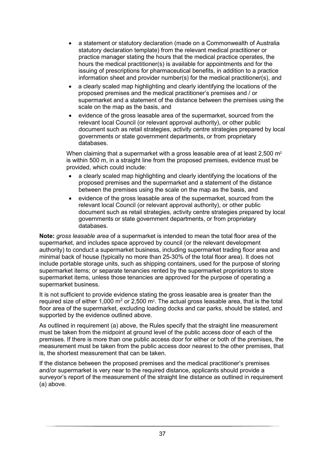- a statement or statutory declaration (made on a Commonwealth of Australia statutory declaration template) from the relevant medical practitioner or practice manager stating the hours that the medical practice operates, the hours the medical practitioner(s) is available for appointments and for the issuing of prescriptions for pharmaceutical benefits, in addition to a practice information sheet and provider number(s) for the medical practitioner(s), and
- a clearly scaled map highlighting and clearly identifying the locations of the proposed premises and the medical practitioner's premises and / or supermarket and a statement of the distance between the premises using the scale on the map as the basis, and
- evidence of the gross leasable area of the supermarket, sourced from the relevant local Council (or relevant approval authority), or other public document such as retail strategies, activity centre strategies prepared by local governments or state government departments, or from proprietary databases.

When claiming that a supermarket with a gross leasable area of at least  $2,500$  m<sup>2</sup> is within 500 m, in a straight line from the proposed premises, evidence must be provided, which could include:

- a clearly scaled map highlighting and clearly identifying the locations of the proposed premises and the supermarket and a statement of the distance between the premises using the scale on the map as the basis, and
- evidence of the gross leasable area of the supermarket, sourced from the relevant local Council (or relevant approval authority), or other public document such as retail strategies, activity centre strategies prepared by local governments or state government departments, or from proprietary databases.

**Note:** *gross leasable area* of a supermarket is intended to mean the total floor area of the supermarket, and includes space approved by council (or the relevant development authority) to conduct a supermarket business, including supermarket trading floor area and minimal back of house (typically no more than 25-30% of the total floor area). It does not include portable storage units, such as shipping containers, used for the purpose of storing supermarket items; or separate tenancies rented by the supermarket proprietors to store supermarket items, unless those tenancies are approved for the purpose of operating a supermarket business.

It is not sufficient to provide evidence stating the gross leasable area is greater than the required size of either 1,000  $m^2$  or 2,500  $m^2$ . The actual gross leasable area, that is the total floor area of the supermarket, excluding loading docks and car parks, should be stated, and supported by the evidence outlined above.

As outlined in requirement (a) above, the Rules specify that the straight line measurement must be taken from the midpoint at ground level of the public access door of each of the premises. If there is more than one public access door for either or both of the premises, the measurement must be taken from the public access door nearest to the other premises, that is, the shortest measurement that can be taken.

If the distance between the proposed premises and the medical practitioner's premises and/or supermarket is very near to the required distance, applicants should provide a surveyor's report of the measurement of the straight line distance as outlined in requirement (a) above.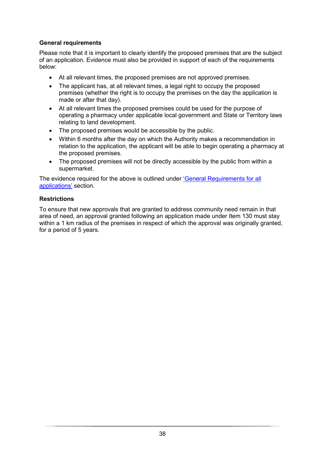#### **General requirements**

Please note that it is important to clearly identify the proposed premises that are the subject of an application. Evidence must also be provided in support of each of the requirements below:

- At all relevant times, the proposed premises are not approved premises.
- The applicant has, at all relevant times, a legal right to occupy the proposed premises (whether the right is to occupy the premises on the day the application is made or after that day).
- At all relevant times the proposed premises could be used for the purpose of operating a pharmacy under applicable local government and State or Territory laws relating to land development.
- The proposed premises would be accessible by the public.
- Within 6 months after the day on which the Authority makes a recommendation in relation to the application, the applicant will be able to begin operating a pharmacy at the proposed premises.
- The proposed premises will not be directly accessible by the public from within a supermarket.

The evidence required for the above is outlined under ['General Requirements for all](#page-18-0)  [applications'](#page-18-0) section.

#### **Restrictions**

To ensure that new approvals that are granted to address community need remain in that area of need, an approval granted following an application made under Item 130 must stay within a 1 km radius of the premises in respect of which the approval was originally granted, for a period of 5 years.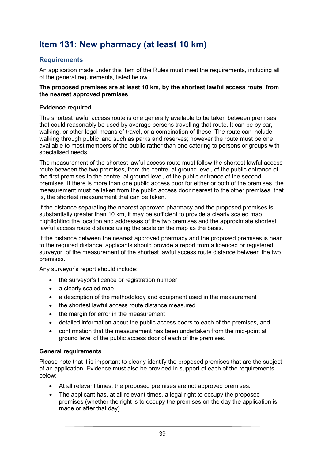# <span id="page-39-0"></span>**Item 131: New pharmacy (at least 10 km)**

#### **Requirements**

An application made under this item of the Rules must meet the requirements, including all of the general requirements, listed below.

#### **The proposed premises are at least 10 km, by the shortest lawful access route, from the nearest approved premises**

#### **Evidence required**

The shortest lawful access route is one generally available to be taken between premises that could reasonably be used by average persons travelling that route. It can be by car, walking, or other legal means of travel, or a combination of these. The route can include walking through public land such as parks and reserves; however the route must be one available to most members of the public rather than one catering to persons or groups with specialised needs.

The measurement of the shortest lawful access route must follow the shortest lawful access route between the two premises, from the centre, at ground level, of the public entrance of the first premises to the centre, at ground level, of the public entrance of the second premises. If there is more than one public access door for either or both of the premises, the measurement must be taken from the public access door nearest to the other premises, that is, the shortest measurement that can be taken.

If the distance separating the nearest approved pharmacy and the proposed premises is substantially greater than 10 km, it may be sufficient to provide a clearly scaled map, highlighting the location and addresses of the two premises and the approximate shortest lawful access route distance using the scale on the map as the basis.

If the distance between the nearest approved pharmacy and the proposed premises is near to the required distance, applicants should provide a report from a licenced or registered surveyor, of the measurement of the shortest lawful access route distance between the two premises.

Any surveyor's report should include:

- the surveyor's licence or registration number
- a clearly scaled map
- a description of the methodology and equipment used in the measurement
- the shortest lawful access route distance measured
- the margin for error in the measurement
- detailed information about the public access doors to each of the premises, and
- confirmation that the measurement has been undertaken from the mid-point at ground level of the public access door of each of the premises.

#### **General requirements**

Please note that it is important to clearly identify the proposed premises that are the subject of an application. Evidence must also be provided in support of each of the requirements below:

- At all relevant times, the proposed premises are not approved premises.
- The applicant has, at all relevant times, a legal right to occupy the proposed premises (whether the right is to occupy the premises on the day the application is made or after that day).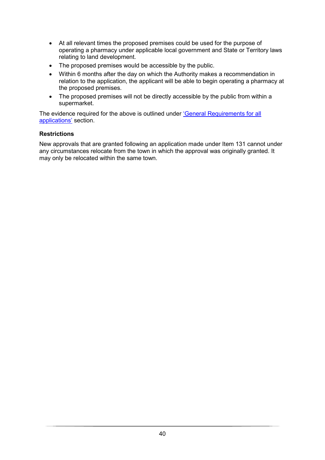- At all relevant times the proposed premises could be used for the purpose of operating a pharmacy under applicable local government and State or Territory laws relating to land development.
- The proposed premises would be accessible by the public.
- Within 6 months after the day on which the Authority makes a recommendation in relation to the application, the applicant will be able to begin operating a pharmacy at the proposed premises.
- The proposed premises will not be directly accessible by the public from within a supermarket.

The evidence required for the above is outlined under ['General Requirements for all](#page-18-0)  [applications'](#page-18-0) section.

#### **Restrictions**

New approvals that are granted following an application made under Item 131 cannot under any circumstances relocate from the town in which the approval was originally granted. It may only be relocated within the same town.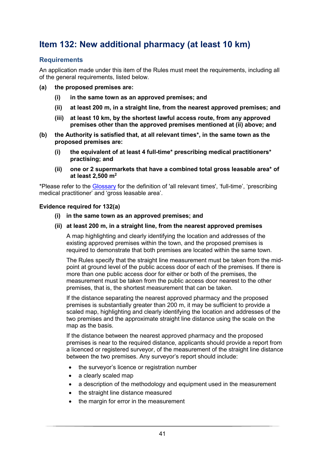## <span id="page-41-0"></span>**Item 132: New additional pharmacy (at least 10 km)**

#### **Requirements**

An application made under this item of the Rules must meet the requirements, including all of the general requirements, listed below.

- **(a) the proposed premises are:** 
	- **(i) in the same town as an approved premises; and**
	- **(ii) at least 200 m, in a straight line, from the nearest approved premises; and**
	- **(iii) at least 10 km, by the shortest lawful access route, from any approved premises other than the approved premises mentioned at (ii) above; and**
- **(b) the Authority is satisfied that, at all relevant times\*, in the same town as the proposed premises are:**
	- **(i) the equivalent of at least 4 full-time\* prescribing medical practitioners\* practising; and**
	- **(ii) one or 2 supermarkets that have a combined total gross leasable area\* of at least 2,500 m2**

\*Please refer to the [Glossary](#page-59-0) for the definition of 'all relevant times', 'full-time', 'prescribing medical practitioner' and 'gross leasable area'.

#### **Evidence required for 132(a)**

- **(i) in the same town as an approved premises; and**
- **(ii) at least 200 m, in a straight line, from the nearest approved premises**

A map highlighting and clearly identifying the location and addresses of the existing approved premises within the town, and the proposed premises is required to demonstrate that both premises are located within the same town.

The Rules specify that the straight line measurement must be taken from the midpoint at ground level of the public access door of each of the premises. If there is more than one public access door for either or both of the premises, the measurement must be taken from the public access door nearest to the other premises, that is, the shortest measurement that can be taken.

If the distance separating the nearest approved pharmacy and the proposed premises is substantially greater than 200 m, it may be sufficient to provide a scaled map, highlighting and clearly identifying the location and addresses of the two premises and the approximate straight line distance using the scale on the map as the basis.

If the distance between the nearest approved pharmacy and the proposed premises is near to the required distance, applicants should provide a report from a licenced or registered surveyor, of the measurement of the straight line distance between the two premises. Any surveyor's report should include:

- the surveyor's licence or registration number
- a clearly scaled map
- a description of the methodology and equipment used in the measurement
- the straight line distance measured
- the margin for error in the measurement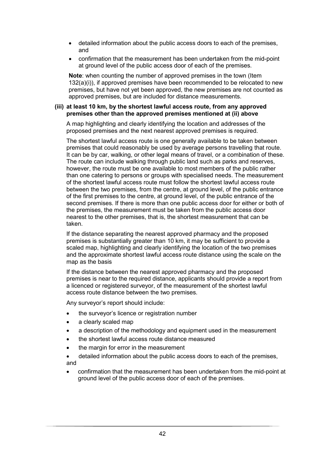- detailed information about the public access doors to each of the premises, and
- confirmation that the measurement has been undertaken from the mid-point at ground level of the public access door of each of the premises.

**Note**: when counting the number of approved premises in the town (Item 132(a)(i)), if approved premises have been recommended to be relocated to new premises, but have not yet been approved, the new premises are not counted as approved premises, but are included for distance measurements.

#### **(iii) at least 10 km, by the shortest lawful access route, from any approved premises other than the approved premises mentioned at (ii) above**

A map highlighting and clearly identifying the location and addresses of the proposed premises and the next nearest approved premises is required.

The shortest lawful access route is one generally available to be taken between premises that could reasonably be used by average persons travelling that route. It can be by car, walking, or other legal means of travel, or a combination of these. The route can include walking through public land such as parks and reserves, however, the route must be one available to most members of the public rather than one catering to persons or groups with specialised needs. The measurement of the shortest lawful access route must follow the shortest lawful access route between the two premises, from the centre, at ground level, of the public entrance of the first premises to the centre, at ground level, of the public entrance of the second premises. If there is more than one public access door for either or both of the premises, the measurement must be taken from the public access door nearest to the other premises, that is, the shortest measurement that can be taken.

If the distance separating the nearest approved pharmacy and the proposed premises is substantially greater than 10 km, it may be sufficient to provide a scaled map, highlighting and clearly identifying the location of the two premises and the approximate shortest lawful access route distance using the scale on the map as the basis

If the distance between the nearest approved pharmacy and the proposed premises is near to the required distance, applicants should provide a report from a licenced or registered surveyor, of the measurement of the shortest lawful access route distance between the two premises.

Any surveyor's report should include:

- the surveyor's licence or registration number
- a clearly scaled map
- a description of the methodology and equipment used in the measurement
- the shortest lawful access route distance measured
- the margin for error in the measurement
- detailed information about the public access doors to each of the premises, and
- confirmation that the measurement has been undertaken from the mid-point at ground level of the public access door of each of the premises.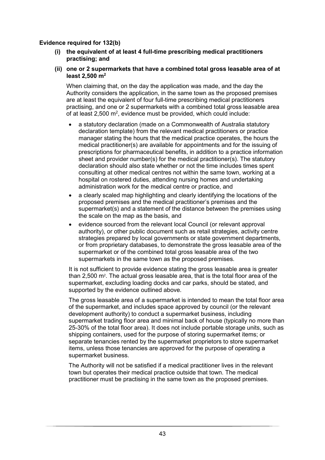#### **Evidence required for 132(b)**

- **(i) the equivalent of at least 4 full-time prescribing medical practitioners practising; and**
- **(ii) one or 2 supermarkets that have a combined total gross leasable area of at least 2,500 m2**

When claiming that, on the day the application was made, and the day the Authority considers the application, in the same town as the proposed premises are at least the equivalent of four full-time prescribing medical practitioners practising, and one or 2 supermarkets with a combined total gross leasable area of at least 2,500  $m^2$ , evidence must be provided, which could include:

- a statutory declaration (made on a Commonwealth of Australia statutory declaration template) from the relevant medical practitioners or practice manager stating the hours that the medical practice operates, the hours the medical practitioner(s) are available for appointments and for the issuing of prescriptions for pharmaceutical benefits, in addition to a practice information sheet and provider number(s) for the medical practitioner(s). The statutory declaration should also state whether or not the time includes times spent consulting at other medical centres not within the same town, working at a hospital on rostered duties, attending nursing homes and undertaking administration work for the medical centre or practice, and
- a clearly scaled map highlighting and clearly identifying the locations of the proposed premises and the medical practitioner's premises and the supermarket(s) and a statement of the distance between the premises using the scale on the map as the basis, and
- evidence sourced from the relevant local Council (or relevant approval authority), or other public document such as retail strategies, activity centre strategies prepared by local governments or state government departments, or from proprietary databases, to demonstrate the gross leasable area of the supermarket or of the combined total gross leasable area of the two supermarkets in the same town as the proposed premises.

It is not sufficient to provide evidence stating the gross leasable area is greater than 2,500 m2. The actual gross leasable area, that is the total floor area of the supermarket, excluding loading docks and car parks, should be stated, and supported by the evidence outlined above.

The gross leasable area of a supermarket is intended to mean the total floor area of the supermarket, and includes space approved by council (or the relevant development authority) to conduct a supermarket business, including supermarket trading floor area and minimal back of house (typically no more than 25-30% of the total floor area). It does not include portable storage units, such as shipping containers, used for the purpose of storing supermarket items; or separate tenancies rented by the supermarket proprietors to store supermarket items, unless those tenancies are approved for the purpose of operating a supermarket business.

The Authority will not be satisfied if a medical practitioner lives in the relevant town but operates their medical practice outside that town. The medical practitioner must be practising in the same town as the proposed premises.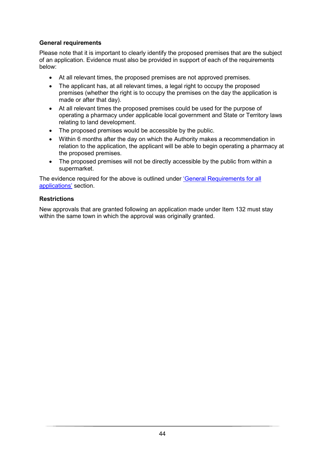#### **General requirements**

Please note that it is important to clearly identify the proposed premises that are the subject of an application. Evidence must also be provided in support of each of the requirements below:

- At all relevant times, the proposed premises are not approved premises.
- The applicant has, at all relevant times, a legal right to occupy the proposed premises (whether the right is to occupy the premises on the day the application is made or after that day).
- At all relevant times the proposed premises could be used for the purpose of operating a pharmacy under applicable local government and State or Territory laws relating to land development.
- The proposed premises would be accessible by the public.
- Within 6 months after the day on which the Authority makes a recommendation in relation to the application, the applicant will be able to begin operating a pharmacy at the proposed premises.
- The proposed premises will not be directly accessible by the public from within a supermarket.

The evidence required for the above is outlined under ['General Requirements for](#page-18-0) all [applications'](#page-18-0) section.

#### **Restrictions**

New approvals that are granted following an application made under Item 132 must stay within the same town in which the approval was originally granted.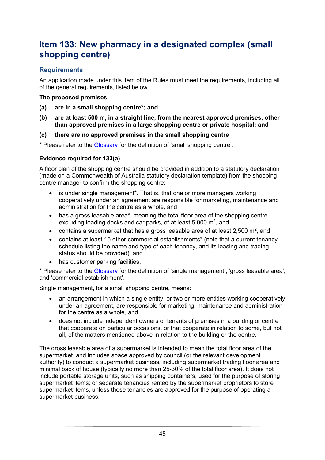### <span id="page-45-0"></span>**Item 133: New pharmacy in a designated complex (small shopping centre)**

#### **Requirements**

An application made under this item of the Rules must meet the requirements, including all of the general requirements, listed below.

#### **The proposed premises:**

- **(a) are in a small shopping centre\*; and**
- **(b) are at least 500 m, in a straight line, from the nearest approved premises, other than approved premises in a large shopping centre or private hospital; and**
- **(c) there are no approved premises in the small shopping centre**

\* Please refer to the [Glossary](#page-59-0) for the definition of 'small shopping centre'.

#### **Evidence required for 133(a)**

A floor plan of the shopping centre should be provided in addition to a statutory declaration (made on a Commonwealth of Australia statutory declaration template) from the shopping centre manager to confirm the shopping centre:

- is under single management<sup>\*</sup>. That is, that one or more managers working cooperatively under an agreement are responsible for marketing, maintenance and administration for the centre as a whole, and
- has a gross leasable area\*, meaning the total floor area of the shopping centre excluding loading docks and car parks, of at least  $5,000$  m<sup>2</sup>, and
- contains a supermarket that has a gross leasable area of at least 2,500  $m^2$ , and
- contains at least 15 other commercial establishments\* (note that a current tenancy schedule listing the name and type of each tenancy, and its leasing and trading status should be provided), and
- has customer parking facilities.

\* Please refer to the [Glossary](#page-59-0) for the definition of 'single management', 'gross leasable area', and 'commercial establishment'.

Single management, for a small shopping centre, means:

- an arrangement in which a single entity, or two or more entities working cooperatively under an agreement, are responsible for marketing, maintenance and administration for the centre as a whole, and
- does not include independent owners or tenants of premises in a building or centre that cooperate on particular occasions, or that cooperate in relation to some, but not all, of the matters mentioned above in relation to the building or the centre.

The gross leasable area of a supermarket is intended to mean the total floor area of the supermarket, and includes space approved by council (or the relevant development authority) to conduct a supermarket business, including supermarket trading floor area and minimal back of house (typically no more than 25-30% of the total floor area). It does not include portable storage units, such as shipping containers, used for the purpose of storing supermarket items; or separate tenancies rented by the supermarket proprietors to store supermarket items, unless those tenancies are approved for the purpose of operating a supermarket business.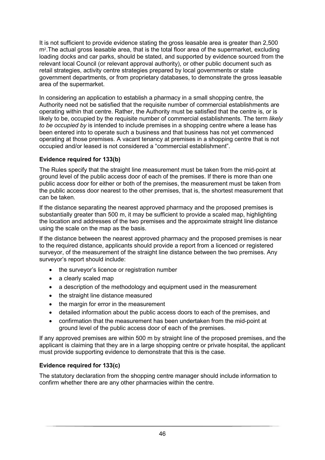It is not sufficient to provide evidence stating the gross leasable area is greater than 2,500 m2.The actual gross leasable area, that is the total floor area of the supermarket, excluding loading docks and car parks, should be stated, and supported by evidence sourced from the relevant local Council (or relevant approval authority), or other public document such as retail strategies, activity centre strategies prepared by local governments or state government departments, or from proprietary databases, to demonstrate the gross leasable area of the supermarket.

In considering an application to establish a pharmacy in a small shopping centre, the Authority need not be satisfied that the requisite number of commercial establishments are operating within that centre. Rather, the Authority must be satisfied that the centre is, or is likely to be, occupied by the requisite number of commercial establishments. The term *likely to be occupied by* is intended to include premises in a shopping centre where a lease has been entered into to operate such a business and that business has not yet commenced operating at those premises. A vacant tenancy at premises in a shopping centre that is not occupied and/or leased is not considered a "commercial establishment".

#### **Evidence required for 133(b)**

The Rules specify that the straight line measurement must be taken from the mid-point at ground level of the public access door of each of the premises. If there is more than one public access door for either or both of the premises, the measurement must be taken from the public access door nearest to the other premises, that is, the shortest measurement that can be taken.

If the distance separating the nearest approved pharmacy and the proposed premises is substantially greater than 500 m, it may be sufficient to provide a scaled map, highlighting the location and addresses of the two premises and the approximate straight line distance using the scale on the map as the basis.

If the distance between the nearest approved pharmacy and the proposed premises is near to the required distance, applicants should provide a report from a licenced or registered surveyor, of the measurement of the straight line distance between the two premises. Any surveyor's report should include:

- the surveyor's licence or registration number
- a clearly scaled map
- a description of the methodology and equipment used in the measurement
- the straight line distance measured
- the margin for error in the measurement
- detailed information about the public access doors to each of the premises, and
- confirmation that the measurement has been undertaken from the mid-point at ground level of the public access door of each of the premises.

If any approved premises are within 500 m by straight line of the proposed premises, and the applicant is claiming that they are in a large shopping centre or private hospital, the applicant must provide supporting evidence to demonstrate that this is the case.

#### **Evidence required for 133(c)**

The statutory declaration from the shopping centre manager should include information to confirm whether there are any other pharmacies within the centre.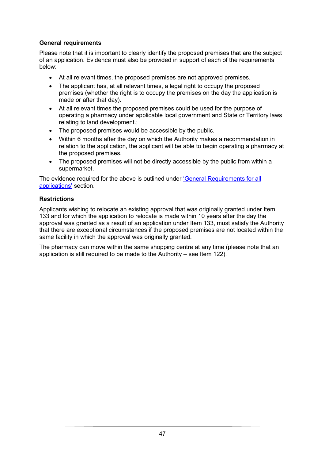#### **General requirements**

Please note that it is important to clearly identify the proposed premises that are the subject of an application. Evidence must also be provided in support of each of the requirements below:

- At all relevant times, the proposed premises are not approved premises.
- The applicant has, at all relevant times, a legal right to occupy the proposed premises (whether the right is to occupy the premises on the day the application is made or after that day).
- At all relevant times the proposed premises could be used for the purpose of operating a pharmacy under applicable local government and State or Territory laws relating to land development.;
- The proposed premises would be accessible by the public.
- Within 6 months after the day on which the Authority makes a recommendation in relation to the application, the applicant will be able to begin operating a pharmacy at the proposed premises.
- The proposed premises will not be directly accessible by the public from within a supermarket.

The evidence required for the above is outlined under ['General Requirements for all](#page-18-0)  [applications'](#page-18-0) section.

#### **Restrictions**

Applicants wishing to relocate an existing approval that was originally granted under Item 133 and for which the application to relocate is made within 10 years after the day the approval was granted as a result of an application under Item 133, must satisfy the Authority that there are exceptional circumstances if the proposed premises are not located within the same facility in which the approval was originally granted.

The pharmacy can move within the same shopping centre at any time (please note that an application is still required to be made to the Authority – see Item 122).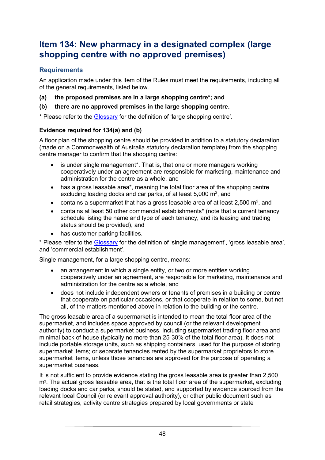### <span id="page-48-0"></span>**Item 134: New pharmacy in a designated complex (large shopping centre with no approved premises)**

#### **Requirements**

An application made under this item of the Rules must meet the requirements, including all of the general requirements, listed below.

- **(a) the proposed premises are in a large shopping centre\*; and**
- **(b) there are no approved premises in the large shopping centre.**

\* Please refer to the [Glossary](#page-59-0) for the definition of 'large shopping centre'.

#### **Evidence required for 134(a) and (b)**

A floor plan of the shopping centre should be provided in addition to a statutory declaration (made on a Commonwealth of Australia statutory declaration template) from the shopping centre manager to confirm that the shopping centre:

- is under single management<sup>\*</sup>. That is, that one or more managers working cooperatively under an agreement are responsible for marketing, maintenance and administration for the centre as a whole, and
- has a gross leasable area\*, meaning the total floor area of the shopping centre excluding loading docks and car parks, of at least  $5,000$  m<sup>2</sup>, and
- contains a supermarket that has a gross leasable area of at least 2,500  $m^2$ , and
- contains at least 50 other commercial establishments\* (note that a current tenancy schedule listing the name and type of each tenancy, and its leasing and trading status should be provided), and
- has customer parking facilities.

\* Please refer to the [Glossary](#page-59-0) for the definition of 'single management', 'gross leasable area', and 'commercial establishment'.

Single management, for a large shopping centre, means:

- an arrangement in which a single entity, or two or more entities working cooperatively under an agreement, are responsible for marketing, maintenance and administration for the centre as a whole, and
- does not include independent owners or tenants of premises in a building or centre that cooperate on particular occasions, or that cooperate in relation to some, but not all, of the matters mentioned above in relation to the building or the centre.

The gross leasable area of a supermarket is intended to mean the total floor area of the supermarket, and includes space approved by council (or the relevant development authority) to conduct a supermarket business, including supermarket trading floor area and minimal back of house (typically no more than 25-30% of the total floor area). It does not include portable storage units, such as shipping containers, used for the purpose of storing supermarket items; or separate tenancies rented by the supermarket proprietors to store supermarket items, unless those tenancies are approved for the purpose of operating a supermarket business.

It is not sufficient to provide evidence stating the gross leasable area is greater than 2,500 m<sup>2</sup>. The actual gross leasable area, that is the total floor area of the supermarket, excluding loading docks and car parks, should be stated, and supported by evidence sourced from the relevant local Council (or relevant approval authority), or other public document such as retail strategies, activity centre strategies prepared by local governments or state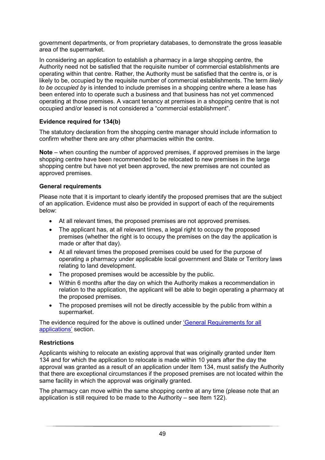government departments, or from proprietary databases, to demonstrate the gross leasable area of the supermarket.

In considering an application to establish a pharmacy in a large shopping centre, the Authority need not be satisfied that the requisite number of commercial establishments are operating within that centre. Rather, the Authority must be satisfied that the centre is, or is likely to be, occupied by the requisite number of commercial establishments. The term *likely to be occupied by* is intended to include premises in a shopping centre where a lease has been entered into to operate such a business and that business has not yet commenced operating at those premises. A vacant tenancy at premises in a shopping centre that is not occupied and/or leased is not considered a "commercial establishment".

#### **Evidence required for 134(b)**

The statutory declaration from the shopping centre manager should include information to confirm whether there are any other pharmacies within the centre.

**Note** – when counting the number of approved premises, if approved premises in the large shopping centre have been recommended to be relocated to new premises in the large shopping centre but have not yet been approved, the new premises are not counted as approved premises.

#### **General requirements**

Please note that it is important to clearly identify the proposed premises that are the subject of an application. Evidence must also be provided in support of each of the requirements below:

- At all relevant times, the proposed premises are not approved premises.
- The applicant has, at all relevant times, a legal right to occupy the proposed premises (whether the right is to occupy the premises on the day the application is made or after that day).
- At all relevant times the proposed premises could be used for the purpose of operating a pharmacy under applicable local government and State or Territory laws relating to land development.
- The proposed premises would be accessible by the public.
- Within 6 months after the day on which the Authority makes a recommendation in relation to the application, the applicant will be able to begin operating a pharmacy at the proposed premises.
- The proposed premises will not be directly accessible by the public from within a supermarket.

The evidence required for the above is outlined under ['General Requirements for all](#page-18-0)  [applications'](#page-18-0) section.

#### **Restrictions**

Applicants wishing to relocate an existing approval that was originally granted under Item 134 and for which the application to relocate is made within 10 years after the day the approval was granted as a result of an application under Item 134, must satisfy the Authority that there are exceptional circumstances if the proposed premises are not located within the same facility in which the approval was originally granted.

The pharmacy can move within the same shopping centre at any time (please note that an application is still required to be made to the Authority – see Item 122).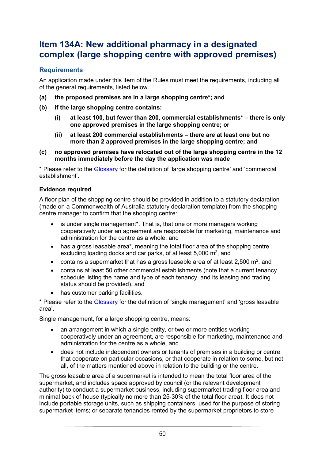### <span id="page-50-0"></span>**Item 134A: New additional pharmacy in a designated complex (large shopping centre with approved premises)**

#### **Requirements**

An application made under this item of the Rules must meet the requirements, including all of the general requirements, listed below.

- **(a) the proposed premises are in a large shopping centre\*; and**
- **(b) if the large shopping centre contains:** 
	- **(i) at least 100, but fewer than 200, commercial establishments\* – there is only one approved premises in the large shopping centre; or**
	- **(ii) at least 200 commercial establishments – there are at least one but no more than 2 approved premises in the large shopping centre; and**
- **(c) no approved premises have relocated out of the large shopping centre in the 12 months immediately before the day the application was made**

\* Please refer to the [Glossary](#page-59-0) for the definition of 'large shopping centre' and 'commercial establishment'.

#### **Evidence required**

A floor plan of the shopping centre should be provided in addition to a statutory declaration (made on a Commonwealth of Australia statutory declaration template) from the shopping centre manager to confirm that the shopping centre:

- is under single management<sup>\*</sup>. That is, that one or more managers working cooperatively under an agreement are responsible for marketing, maintenance and administration for the centre as a whole, and
- has a gross leasable area\*, meaning the total floor area of the shopping centre excluding loading docks and car parks, of at least  $5,000$  m<sup>2</sup>, and
- contains a supermarket that has a gross leasable area of at least 2,500  $m^2$ , and
- contains at least 50 other commercial establishments (note that a current tenancy schedule listing the name and type of each tenancy, and its leasing and trading status should be provided), and
- has customer parking facilities.

\* Please refer to the [Glossary](#page-59-0) for the definition of 'single management' and 'gross leasable area'.

Single management, for a large shopping centre, means:

- an arrangement in which a single entity, or two or more entities working cooperatively under an agreement, are responsible for marketing, maintenance and administration for the centre as a whole, and
- does not include independent owners or tenants of premises in a building or centre that cooperate on particular occasions, or that cooperate in relation to some, but not all, of the matters mentioned above in relation to the building or the centre.

The gross leasable area of a supermarket is intended to mean the total floor area of the supermarket, and includes space approved by council (or the relevant development authority) to conduct a supermarket business, including supermarket trading floor area and minimal back of house (typically no more than 25-30% of the total floor area). It does not include portable storage units, such as shipping containers, used for the purpose of storing supermarket items; or separate tenancies rented by the supermarket proprietors to store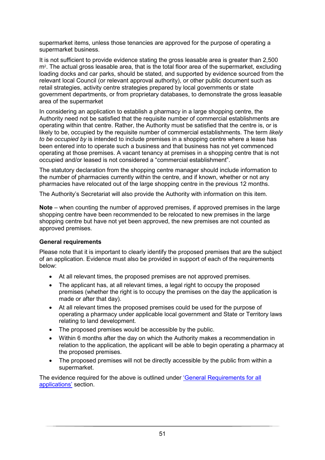supermarket items, unless those tenancies are approved for the purpose of operating a supermarket business.

It is not sufficient to provide evidence stating the gross leasable area is greater than 2,500 m<sup>2</sup>. The actual gross leasable area, that is the total floor area of the supermarket, excluding loading docks and car parks, should be stated, and supported by evidence sourced from the relevant local Council (or relevant approval authority), or other public document such as retail strategies, activity centre strategies prepared by local governments or state government departments, or from proprietary databases, to demonstrate the gross leasable area of the supermarket

In considering an application to establish a pharmacy in a large shopping centre, the Authority need not be satisfied that the requisite number of commercial establishments are operating within that centre. Rather, the Authority must be satisfied that the centre is, or is likely to be, occupied by the requisite number of commercial establishments. The term *likely to be occupied by* is intended to include premises in a shopping centre where a lease has been entered into to operate such a business and that business has not yet commenced operating at those premises. A vacant tenancy at premises in a shopping centre that is not occupied and/or leased is not considered a "commercial establishment".

The statutory declaration from the shopping centre manager should include information to the number of pharmacies currently within the centre, and if known, whether or not any pharmacies have relocated out of the large shopping centre in the previous 12 months.

The Authority's Secretariat will also provide the Authority with information on this item.

**Note** – when counting the number of approved premises, if approved premises in the large shopping centre have been recommended to be relocated to new premises in the large shopping centre but have not yet been approved, the new premises are not counted as approved premises.

#### **General requirements**

Please note that it is important to clearly identify the proposed premises that are the subject of an application. Evidence must also be provided in support of each of the requirements below:

- At all relevant times, the proposed premises are not approved premises.
- The applicant has, at all relevant times, a legal right to occupy the proposed premises (whether the right is to occupy the premises on the day the application is made or after that day).
- At all relevant times the proposed premises could be used for the purpose of operating a pharmacy under applicable local government and State or Territory laws relating to land development.
- The proposed premises would be accessible by the public.
- Within 6 months after the day on which the Authority makes a recommendation in relation to the application, the applicant will be able to begin operating a pharmacy at the proposed premises.
- The proposed premises will not be directly accessible by the public from within a supermarket.

The evidence required for the above is outlined under ['General Requirements for all](#page-18-0)  [applications'](#page-18-0) section.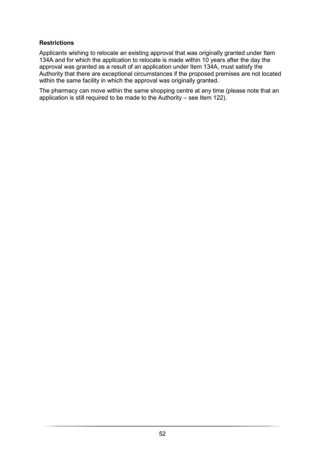#### **Restrictions**

Applicants wishing to relocate an existing approval that was originally granted under Item 134A and for which the application to relocate is made within 10 years after the day the approval was granted as a result of an application under Item 134A, must satisfy the Authority that there are exceptional circumstances if the proposed premises are not located within the same facility in which the approval was originally granted.

The pharmacy can move within the same shopping centre at any time (please note that an application is still required to be made to the Authority – see Item 122).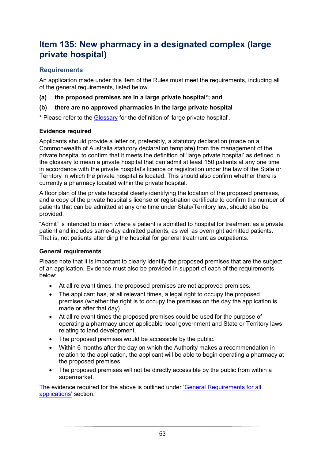### <span id="page-53-0"></span>**Item 135: New pharmacy in a designated complex (large private hospital)**

#### **Requirements**

An application made under this item of the Rules must meet the requirements, including all of the general requirements, listed below.

**(a) the proposed premises are in a large private hospital\*; and**

#### **(b) there are no approved pharmacies in the large private hospital**

\* Please refer to the [Glossary](#page-59-0) for the definition of 'large private hospital'.

#### **Evidence required**

Applicants should provide a letter or, preferably, a statutory declaration **(**made on a Commonwealth of Australia statutory declaration template**)** from the management of the private hospital to confirm that it meets the definition of 'large private hospital' as defined in the glossary to mean a private hospital that can admit at least 150 patients at any one time in accordance with the private hospital's licence or registration under the law of the State or Territory in which the private hospital is located. This should also confirm whether there is currently a pharmacy located within the private hospital.

A floor plan of the private hospital clearly identifying the location of the proposed premises, and a copy of the private hospital's license or registration certificate to confirm the number of patients that can be admitted at any one time under State/Territory law, should also be provided.

"Admit" is intended to mean where a patient is admitted to hospital for treatment as a private patient and includes same-day admitted patients, as well as overnight admitted patients. That is, not patients attending the hospital for general treatment as outpatients.

#### **General requirements**

Please note that it is important to clearly identify the proposed premises that are the subject of an application. Evidence must also be provided in support of each of the requirements below:

- At all relevant times, the proposed premises are not approved premises.
- The applicant has, at all relevant times, a legal right to occupy the proposed premises (whether the right is to occupy the premises on the day the application is made or after that day).
- At all relevant times the proposed premises could be used for the purpose of operating a pharmacy under applicable local government and State or Territory laws relating to land development.
- The proposed premises would be accessible by the public.
- Within 6 months after the day on which the Authority makes a recommendation in relation to the application, the applicant will be able to begin operating a pharmacy at the proposed premises.
- The proposed premises will not be directly accessible by the public from within a supermarket.

The evidence required for the above is outlined under ['General Requirements for all](#page-18-0)  [applications'](#page-18-0) section.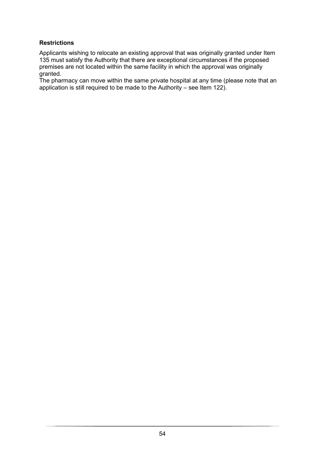#### **Restrictions**

Applicants wishing to relocate an existing approval that was originally granted under Item 135 must satisfy the Authority that there are exceptional circumstances if the proposed premises are not located within the same facility in which the approval was originally granted.

The pharmacy can move within the same private hospital at any time (please note that an application is still required to be made to the Authority – see Item 122).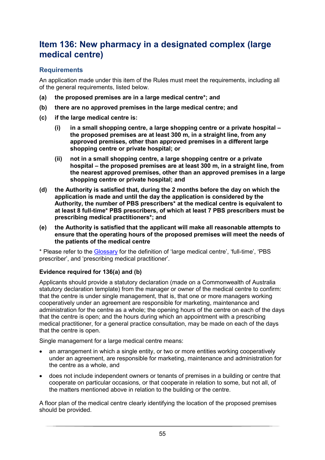### <span id="page-55-0"></span>**Item 136: New pharmacy in a designated complex (large medical centre)**

#### **Requirements**

An application made under this item of the Rules must meet the requirements, including all of the general requirements, listed below.

- **(a) the proposed premises are in a large medical centre\*; and**
- **(b) there are no approved premises in the large medical centre; and**
- **(c) if the large medical centre is:**
	- **(i) in a small shopping centre, a large shopping centre or a private hospital – the proposed premises are at least 300 m, in a straight line, from any approved premises, other than approved premises in a different large shopping centre or private hospital; or**
	- **(ii) not in a small shopping centre, a large shopping centre or a private hospital – the proposed premises are at least 300 m, in a straight line, from the nearest approved premises, other than an approved premises in a large shopping centre or private hospital; and**
- **(d) the Authority is satisfied that, during the 2 months before the day on which the application is made and until the day the application is considered by the Authority, the number of PBS prescribers\* at the medical centre is equivalent to at least 8 full-time\* PBS prescribers, of which at least 7 PBS prescribers must be prescribing medical practitioners\*; and**
- **(e) the Authority is satisfied that the applicant will make all reasonable attempts to ensure that the operating hours of the proposed premises will meet the needs of the patients of the medical centre**

\* Please refer to the [Glossary](#page-59-0) for the definition of 'large medical centre', 'full-time', 'PBS prescriber', and 'prescribing medical practitioner'.

#### **Evidence required for 136(a) and (b)**

Applicants should provide a statutory declaration (made on a Commonwealth of Australia statutory declaration template) from the manager or owner of the medical centre to confirm: that the centre is under single management, that is, that one or more managers working cooperatively under an agreement are responsible for marketing, maintenance and administration for the centre as a whole; the opening hours of the centre on each of the days that the centre is open; and the hours during which an appointment with a prescribing medical practitioner, for a general practice consultation, may be made on each of the days that the centre is open.

Single management for a large medical centre means:

- an arrangement in which a single entity, or two or more entities working cooperatively under an agreement, are responsible for marketing, maintenance and administration for the centre as a whole, and
- does not include independent owners or tenants of premises in a building or centre that cooperate on particular occasions, or that cooperate in relation to some, but not all, of the matters mentioned above in relation to the building or the centre.

A floor plan of the medical centre clearly identifying the location of the proposed premises should be provided.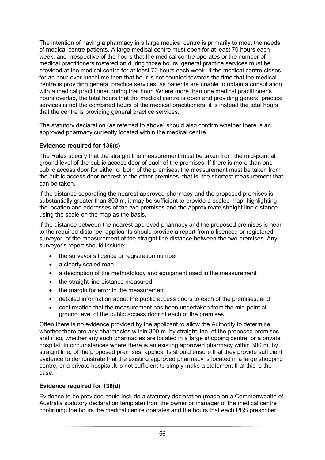The intention of having a pharmacy in a large medical centre is primarily to meet the needs of medical centre patients. A large medical centre must open for at least 70 hours each week, and irrespective of the hours that the medical centre operates or the number of medical practitioners rostered on during those hours, general practice services must be provided at the medical centre for at least 70 hours each week. If the medical centre closes for an hour over lunchtime then that hour is not counted towards the time that the medical centre is providing general practice services, as patients are unable to obtain a consultation with a medical practitioner during that hour. Where more than one medical practitioner's hours overlap, the total hours that the medical centre is open and providing general practice services is not the combined hours of the medical practitioners, it is instead the total hours that the centre is providing general practice services.

The statutory declaration (as referred to above) should also confirm whether there is an approved pharmacy currently located within the medical centre.

#### **Evidence required for 136(c)**

The Rules specify that the straight line measurement must be taken from the mid-point at ground level of the public access door of each of the premises. If there is more than one public access door for either or both of the premises, the measurement must be taken from the public access door nearest to the other premises, that is, the shortest measurement that can be taken.

If the distance separating the nearest approved pharmacy and the proposed premises is substantially greater than 300 m, it may be sufficient to provide a scaled map, highlighting the location and addresses of the two premises and the approximate straight line distance using the scale on the map as the basis.

If the distance between the nearest approved pharmacy and the proposed premises is near to the required distance, applicants should provide a report from a licenced or registered surveyor, of the measurement of the straight line distance between the two premises. Any surveyor's report should include:

- the surveyor's licence or registration number
- a clearly scaled map
- a description of the methodology and equipment used in the measurement
- the straight line distance measured
- the margin for error in the measurement
- detailed information about the public access doors to each of the premises, and
- confirmation that the measurement has been undertaken from the mid-point at ground level of the public access door of each of the premises.

Often there is no evidence provided by the applicant to allow the Authority to determine whether there are any pharmacies within 300 m, by straight line, of the proposed premises, and if so, whether any such pharmacies are located in a large shopping centre, or a private hospital. In circumstances where there is an existing approved pharmacy within 300 m, by straight line, of the proposed premises, applicants should ensure that they provide sufficient evidence to demonstrate that the existing approved pharmacy is located in a large shopping centre, or a private hospital.It is not sufficient to simply make a statement that this is the case.

#### **Evidence required for 136(d)**

Evidence to be provided could include a statutory declaration (made on a Commonwealth of Australia statutory declaration template) from the owner or manager of the medical centre confirming the hours the medical centre operates and the hours that each PBS prescriber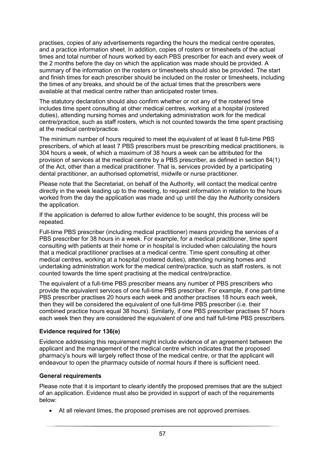practises, copies of any advertisements regarding the hours the medical centre operates, and a practice information sheet. In addition, copies of rosters or timesheets of the actual times and total number of hours worked by each PBS prescriber for each and every week of the 2 months before the day on which the application was made should be provided. A summary of the information on the rosters or timesheets should also be provided. The start and finish times for each prescriber should be included on the roster or timesheets, including the times of any breaks, and should be of the actual times that the prescribers were available at that medical centre rather than anticipated roster times.

The statutory declaration should also confirm whether or not any of the rostered time includes time spent consulting at other medical centres, working at a hospital (rostered duties), attending nursing homes and undertaking administration work for the medical centre/practice, such as staff rosters, which is not counted towards the time spent practising at the medical centre/practice.

The minimum number of hours required to meet the equivalent of at least 8 full-time PBS prescribers, of which at least 7 PBS prescribers must be prescribing medical practitioners, is 304 hours a week, of which a maximum of 38 hours a week can be attributed for the provision of services at the medical centre by a PBS prescriber, as defined in section 84(1) of the Act, other than a medical practitioner. That is, services provided by a participating dental practitioner, an authorised optometrist, midwife or nurse practitioner.

Please note that the Secretariat, on behalf of the Authority, will contact the medical centre directly in the week leading up to the meeting, to request information in relation to the hours worked from the day the application was made and up until the day the Authority considers the application.

If the application is deferred to allow further evidence to be sought, this process will be repeated.

Full-time PBS prescriber (including medical practitioner) means providing the services of a PBS prescriber for 38 hours in a week. For example, for a medical practitioner, time spent consulting with patients at their home or in hospital is included when calculating the hours that a medical practitioner practises at a medical centre. Time spent consulting at other medical centres, working at a hospital (rostered duties), attending nursing homes and undertaking administration work for the medical centre/practice, such as staff rosters, is not counted towards the time spent practising at the medical centre/practice.

The equivalent of a full-time PBS prescriber means any number of PBS prescribers who provide the equivalent services of one full-time PBS prescriber. For example, if one part-time PBS prescriber practises 20 hours each week and another practises 18 hours each week, then they will be considered the equivalent of one full-time PBS prescriber (i.e. their combined practice hours equal 38 hours). Similarly, if one PBS prescriber practises 57 hours each week then they are considered the equivalent of one and half full-time PBS prescribers.

#### **Evidence required for 136(e)**

Evidence addressing this requirement might include evidence of an agreement between the applicant and the management of the medical centre which indicates that the proposed pharmacy's hours will largely reflect those of the medical centre, or that the applicant will endeavour to open the pharmacy outside of normal hours if there is sufficient need.

#### **General requirements**

Please note that it is important to clearly identify the proposed premises that are the subject of an application. Evidence must also be provided in support of each of the requirements below:

• At all relevant times, the proposed premises are not approved premises.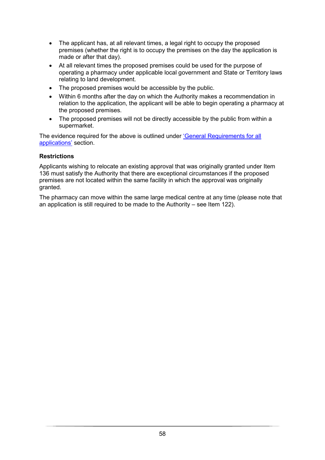- The applicant has, at all relevant times, a legal right to occupy the proposed premises (whether the right is to occupy the premises on the day the application is made or after that day).
- At all relevant times the proposed premises could be used for the purpose of operating a pharmacy under applicable local government and State or Territory laws relating to land development.
- The proposed premises would be accessible by the public.
- Within 6 months after the day on which the Authority makes a recommendation in relation to the application, the applicant will be able to begin operating a pharmacy at the proposed premises.
- The proposed premises will not be directly accessible by the public from within a supermarket.

The evidence required for the above is outlined under ['General Requirements for all](#page-18-0)  [applications'](#page-18-0) section.

#### **Restrictions**

Applicants wishing to relocate an existing approval that was originally granted under Item 136 must satisfy the Authority that there are exceptional circumstances if the proposed premises are not located within the same facility in which the approval was originally granted.

The pharmacy can move within the same large medical centre at any time (please note that an application is still required to be made to the Authority – see Item 122).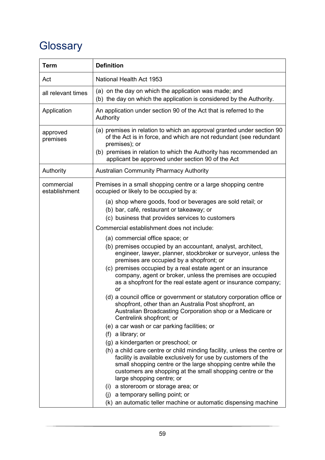# <span id="page-59-0"></span>**Glossary**

| <b>Term</b>                 | <b>Definition</b>                                                                                                                                                                                                                                                                                   |
|-----------------------------|-----------------------------------------------------------------------------------------------------------------------------------------------------------------------------------------------------------------------------------------------------------------------------------------------------|
| Act                         | National Health Act 1953                                                                                                                                                                                                                                                                            |
| all relevant times          | (a) on the day on which the application was made; and<br>(b) the day on which the application is considered by the Authority.                                                                                                                                                                       |
| Application                 | An application under section 90 of the Act that is referred to the<br>Authority                                                                                                                                                                                                                     |
| approved<br>premises        | (a) premises in relation to which an approval granted under section 90<br>of the Act is in force, and which are not redundant (see redundant<br>premises); or<br>(b) premises in relation to which the Authority has recommended an<br>applicant be approved under section 90 of the Act            |
| Authority                   | <b>Australian Community Pharmacy Authority</b>                                                                                                                                                                                                                                                      |
| commercial<br>establishment | Premises in a small shopping centre or a large shopping centre<br>occupied or likely to be occupied by a:                                                                                                                                                                                           |
|                             | (a) shop where goods, food or beverages are sold retail; or<br>(b) bar, café, restaurant or takeaway; or<br>(c) business that provides services to customers                                                                                                                                        |
|                             | Commercial establishment does not include:                                                                                                                                                                                                                                                          |
|                             | (a) commercial office space; or<br>(b) premises occupied by an accountant, analyst, architect,<br>engineer, lawyer, planner, stockbroker or surveyor, unless the<br>premises are occupied by a shopfront; or                                                                                        |
|                             | (c) premises occupied by a real estate agent or an insurance<br>company, agent or broker, unless the premises are occupied<br>as a shopfront for the real estate agent or insurance company;<br>or                                                                                                  |
|                             | (d) a council office or government or statutory corporation office or<br>shopfront, other than an Australia Post shopfront, an<br>Australian Broadcasting Corporation shop or a Medicare or<br>Centrelink shopfront; or                                                                             |
|                             | (e) a car wash or car parking facilities; or                                                                                                                                                                                                                                                        |
|                             | (f) a library; or                                                                                                                                                                                                                                                                                   |
|                             | (g) a kindergarten or preschool; or                                                                                                                                                                                                                                                                 |
|                             | (h) a child care centre or child minding facility, unless the centre or<br>facility is available exclusively for use by customers of the<br>small shopping centre or the large shopping centre while the<br>customers are shopping at the small shopping centre or the<br>large shopping centre; or |
|                             | (i) a storeroom or storage area; or                                                                                                                                                                                                                                                                 |
|                             | (j) a temporary selling point; or                                                                                                                                                                                                                                                                   |
|                             | (k) an automatic teller machine or automatic dispensing machine                                                                                                                                                                                                                                     |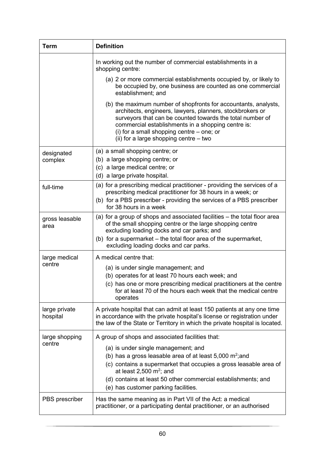| <b>Term</b>               | <b>Definition</b>                                                                                                                                                                                                                                                                                                                          |
|---------------------------|--------------------------------------------------------------------------------------------------------------------------------------------------------------------------------------------------------------------------------------------------------------------------------------------------------------------------------------------|
|                           | In working out the number of commercial establishments in a<br>shopping centre:                                                                                                                                                                                                                                                            |
|                           | (a) 2 or more commercial establishments occupied by, or likely to<br>be occupied by, one business are counted as one commercial<br>establishment; and                                                                                                                                                                                      |
|                           | (b) the maximum number of shopfronts for accountants, analysts,<br>architects, engineers, lawyers, planners, stockbrokers or<br>surveyors that can be counted towards the total number of<br>commercial establishments in a shopping centre is:<br>(i) for a small shopping centre $-$ one; or<br>(ii) for a large shopping centre $-$ two |
| designated                | (a) a small shopping centre; or                                                                                                                                                                                                                                                                                                            |
| complex                   | (b) a large shopping centre; or<br>(c) a large medical centre; or                                                                                                                                                                                                                                                                          |
|                           | (d) a large private hospital.                                                                                                                                                                                                                                                                                                              |
| full-time                 | (a) for a prescribing medical practitioner - providing the services of a<br>prescribing medical practitioner for 38 hours in a week; or<br>(b) for a PBS prescriber - providing the services of a PBS prescriber<br>for 38 hours in a week                                                                                                 |
| gross leasable<br>area    | (a) for a group of shops and associated facilities – the total floor area<br>of the small shopping centre or the large shopping centre<br>excluding loading docks and car parks; and<br>(b) for a supermarket – the total floor area of the supermarket,<br>excluding loading docks and car parks.                                         |
| large medical             | A medical centre that:                                                                                                                                                                                                                                                                                                                     |
| centre                    | (a) is under single management; and                                                                                                                                                                                                                                                                                                        |
|                           | (b) operates for at least 70 hours each week; and                                                                                                                                                                                                                                                                                          |
|                           | (c) has one or more prescribing medical practitioners at the centre<br>for at least 70 of the hours each week that the medical centre<br>operates                                                                                                                                                                                          |
| large private<br>hospital | A private hospital that can admit at least 150 patients at any one time<br>in accordance with the private hospital's license or registration under<br>the law of the State or Territory in which the private hospital is located.                                                                                                          |
| large shopping            | A group of shops and associated facilities that:                                                                                                                                                                                                                                                                                           |
| centre                    | (a) is under single management; and                                                                                                                                                                                                                                                                                                        |
|                           | (b) has a gross leasable area of at least $5,000 \text{ m}^2$ ; and<br>(c) contains a supermarket that occupies a gross leasable area of<br>at least 2,500 $m^2$ ; and                                                                                                                                                                     |
|                           | (d) contains at least 50 other commercial establishments; and<br>(e) has customer parking facilities.                                                                                                                                                                                                                                      |
| PBS prescriber            | Has the same meaning as in Part VII of the Act: a medical<br>practitioner, or a participating dental practitioner, or an authorised                                                                                                                                                                                                        |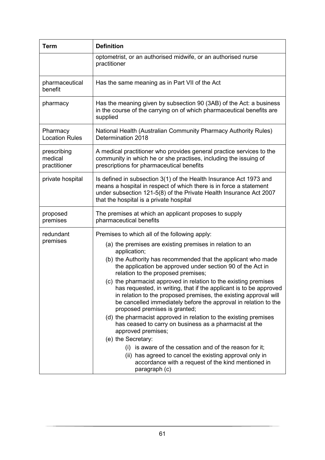| Term                                   | <b>Definition</b>                                                                                                                                                                                                                                                                                                                                                                                                                                                                                                                                                                                                                                                                                                                                                                                                                                                                                                                                                                                                      |
|----------------------------------------|------------------------------------------------------------------------------------------------------------------------------------------------------------------------------------------------------------------------------------------------------------------------------------------------------------------------------------------------------------------------------------------------------------------------------------------------------------------------------------------------------------------------------------------------------------------------------------------------------------------------------------------------------------------------------------------------------------------------------------------------------------------------------------------------------------------------------------------------------------------------------------------------------------------------------------------------------------------------------------------------------------------------|
|                                        | optometrist, or an authorised midwife, or an authorised nurse<br>practitioner                                                                                                                                                                                                                                                                                                                                                                                                                                                                                                                                                                                                                                                                                                                                                                                                                                                                                                                                          |
| pharmaceutical<br>benefit              | Has the same meaning as in Part VII of the Act                                                                                                                                                                                                                                                                                                                                                                                                                                                                                                                                                                                                                                                                                                                                                                                                                                                                                                                                                                         |
| pharmacy                               | Has the meaning given by subsection 90 (3AB) of the Act: a business<br>in the course of the carrying on of which pharmaceutical benefits are<br>supplied                                                                                                                                                                                                                                                                                                                                                                                                                                                                                                                                                                                                                                                                                                                                                                                                                                                               |
| Pharmacy<br><b>Location Rules</b>      | National Health (Australian Community Pharmacy Authority Rules)<br>Determination 2018                                                                                                                                                                                                                                                                                                                                                                                                                                                                                                                                                                                                                                                                                                                                                                                                                                                                                                                                  |
| prescribing<br>medical<br>practitioner | A medical practitioner who provides general practice services to the<br>community in which he or she practises, including the issuing of<br>prescriptions for pharmaceutical benefits                                                                                                                                                                                                                                                                                                                                                                                                                                                                                                                                                                                                                                                                                                                                                                                                                                  |
| private hospital                       | Is defined in subsection 3(1) of the Health Insurance Act 1973 and<br>means a hospital in respect of which there is in force a statement<br>under subsection 121-5(8) of the Private Health Insurance Act 2007<br>that the hospital is a private hospital                                                                                                                                                                                                                                                                                                                                                                                                                                                                                                                                                                                                                                                                                                                                                              |
| proposed<br>premises                   | The premises at which an applicant proposes to supply<br>pharmaceutical benefits                                                                                                                                                                                                                                                                                                                                                                                                                                                                                                                                                                                                                                                                                                                                                                                                                                                                                                                                       |
| redundant<br>premises                  | Premises to which all of the following apply:<br>(a) the premises are existing premises in relation to an<br>application;<br>(b) the Authority has recommended that the applicant who made<br>the application be approved under section 90 of the Act in<br>relation to the proposed premises;<br>(c) the pharmacist approved in relation to the existing premises<br>has requested, in writing, that if the applicant is to be approved<br>in relation to the proposed premises, the existing approval will<br>be cancelled immediately before the approval in relation to the<br>proposed premises is granted;<br>(d) the pharmacist approved in relation to the existing premises<br>has ceased to carry on business as a pharmacist at the<br>approved premises;<br>(e) the Secretary:<br>is aware of the cessation and of the reason for it;<br>$\left( \left  \right  \right)$<br>(ii) has agreed to cancel the existing approval only in<br>accordance with a request of the kind mentioned in<br>paragraph (c) |